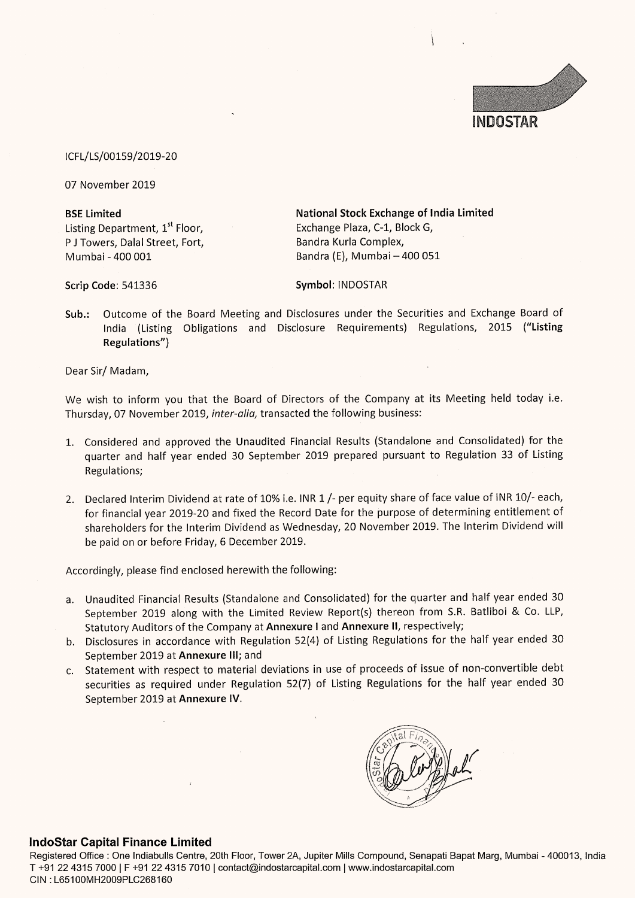

### ICFL/LS/00159/2019-20

07 November 2019

Listing Department, 1<sup>st</sup> Floor, Exchange Plaza, C-1, Block G, P J Towers, Dalal Street, Fort, Bandra Kurla Complex,

BSE Limited National Stock Exchange of India Limited Mumbai - 400 001 Bandra (E), Mumbai — 400 051

Scrip Code: 541336 Symbol: INDOSTAR

Sub.: Outcome of the Board Meeting and Disclosures under the Securities and Exchange Board of India (Listing Obligations and Disclosure Requirements) Regulations, 2015 ("Listing Regulations")

Dear Sir/ Madam,

We wish to inform you that the Board of Directors of the Company at its Meeting held today i.e. Thursday, 07 November 2019, inter-alia, transacted the following business:

- 1. Considered and approved the Unaudited Financial Results (Standalone and Consolidated) for the quarter and half year ended 30 September 2019 prepared pursuant to Regulation 33 of Listing Regulations;
- 2. Declared Interim Dividend at rate of 10% i.e. INR 1 /- per equity share of face value of INR 10/- each, for financial year 2019-20 and fixed the Record Date for the purpose of determining entitlement of shareholders for the Interim Dividend as Wednesday, 20 November 2019. The Interim Dividend will be paid on or before Friday, 6 December 2019.

Accordingly, please find enclosed herewith the following:

- a. Unaudited Financial Results (Standalone and Consolidated) for the quarter and half year ended 30 September 2019 along with the Limited Review Report(s) thereon from S.R. Batliboi & Co. LLP, Statutory Auditors of the Company at Annexure I and Annexure II, respectively;
- b. Disclosures in accordance with Regulation 52(4) of Listing Regulations for the half year ended 30 September 2019 at Annexure III; and
- c. Statement with respect to material deviations in use of proceeds of issue of non-convertible debt securities as required under Regulation 52(7) of Listing Regulations for the half year ended 30 September 2019 at Annexure IV.

### IndoStar Capital Finance Limited

t Marg, Mum<mark>t</mark> ompound, Services Registered Office : One Indiabulls Centre, 20th Floor, Tower 2A, Jupiter Mills Compound, Senapati Bapat Marg, Mumbai - 400013, India T +91 22 4315 7000 | F +91 22 4315 7010 | contact@indostarcapital.com | www.indostarcapital.com CIN : L65100MH2009PLC268160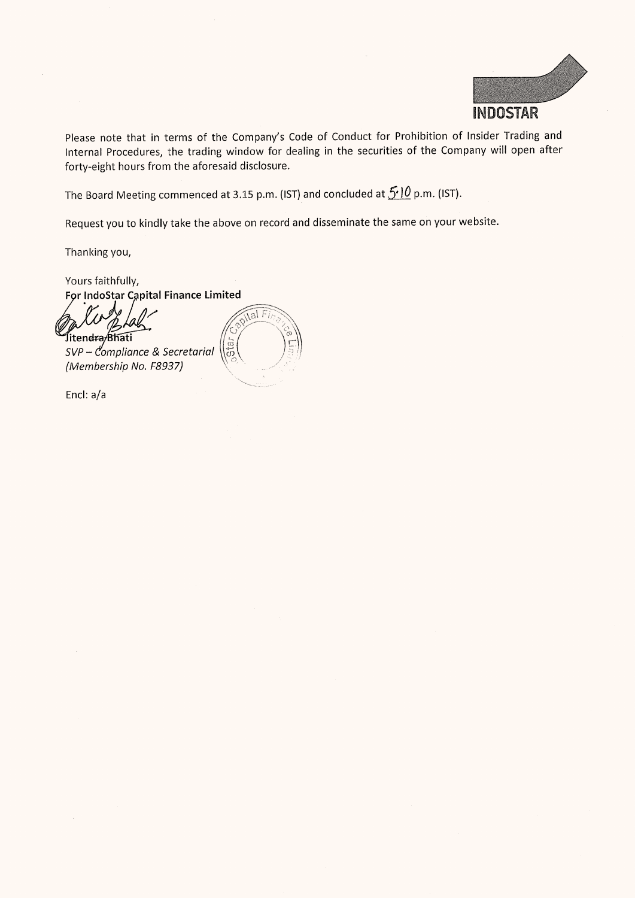

Please note that in terms of the Company's Code of Conduct for Prohibition of Insider Trading and internal Procedures, the trading window for dealing in the securities of the Company will open after forty-eight hours from the aforesaid disclosure.

The Board Meeting commenced at 3.15 p.m. (IST) and concluded at  $5.10$  p.m. (IST).

Request you to kindly take the above on record and disseminate the same on your website.

Thanking you,

Yours faithfully, For IndoStar Capital Finance Limited

Jitendra/Bhati<br>SVP – Compliance & Secretarial  $\begin{pmatrix} \cdot & \cdot & \cdot \\ \cdot & \cdot & \cdot \\ \cdot & \cdot & \cdot \end{pmatrix}$ (Membership No. F8937)



Encl: a/a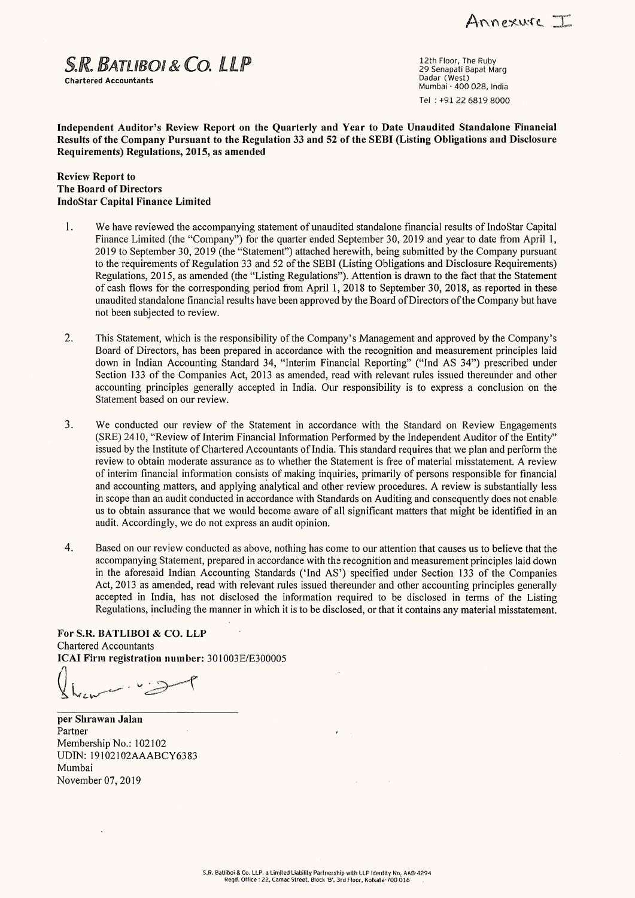Annexure I

 $S.R.$   $BATlIBOI$  &  $CO.$   $LLP$   $29$  Senapati Bapat Marg

Dadar (West) Chartered Accountants Mumbai - 400 028, India Tel : +91 22 6819 8000

Independent Auditor's Review Report on the Quarterly and Year to Date Unaudited Standalone Financial Results of the Company Pursuant to the Regulation 33 and 52 of the SEBI (Listing Obligations and Disclosure Requirements) Regulations, 2015, as amended

#### Review Report to The Board of Directors IndoStar Capital Finance Limited

- 1. We have reviewed the accompanying statement of unaudited standalone financial results of IndoStar Capital Finance Limited (the "Company") for the quarter ended September 30, 2019 and year to date from April 1, 2019 to September 30, 2019 (the "Statement") attached herewith, being submitted by the Company pursuant to the requirements of Regulation 33 and 52 of the SEBI (Listing Obligations and Disclosure Requirements) Regulations, 2015, as amended (the "Listing Regulations"). Attention is drawn to the fact that the Statement of cash flows for the corresponding period from April 1, 2018 to September 30, 2018, as reported in these unaudited standalone financial results have been approved by the Board of Directors of the Company but have not been subjected to review.
- 2. This Statement, which is the responsibility of the Company's Management and approved by the Company's Board of Directors, has been prepared in accordance with the recognition and measurement principles laid down in Indian Accounting Standard 34, "Interim Financial Reporting" ("Ind AS 34") prescribed under Section 133 of the Companies Act, 2013 as amended, read with relevant rules issued thereunder and other accounting principles generally accepted in India. Our responsibility is to express a conclusion on the Statement based on our review.
- 3. We conducted our review of the Statement in accordance with the Standard on Review Engagements (SRE) 2410, "Review of Interim Financial Information Performed by the Independent Auditor of the Entity" issued by the Institute of Chartered Accountants of India. This standard requires that we plan and perform the review to obtain moderate assurance as to whether the Statement is free of material misstatement. A review of interim financial information consists of making inquiries, primarily of persons responsible for financial and accounting matters, and applying analytical and other review procedures. A review is substantially less in scope than an audit conducted in accordance with Standards on Auditing and consequently does not enable us to obtain assurance that we would become aware of all significant matters that might be identified in an audit. Accordingly, we do not express an audit opinion.
- 4, Based on our review conducted as above, nothing has come to our attention that causes us to believe that the accompanying Statement, prepared in accordance with the recognition and measurement principles laid down in the aforesaid Indian Accounting Standards ('Ind AS') specified under Section 133 of the Companies Act, 2013 as amended, read with relevant rules issued thereunder and other accounting principles generally accepted in India, has not disclosed the information required to be disclosed in terms of the Listing Regulations, including the manner in which it is to be disclosed, or that it contains any material misstatement. 4. Based on ou<br>accompanyin<br>in the afore.<br>Act, 2013 as<br>accepted in<br>Regulations,<br>For S.R. BATLIBO<br>Chartered Accountan<br>ICAI Firm registrat<br> $\left\{\left\{ \right. \right. \right\}_{\left. \right. \right\}_{\left. \right. \left. \right. \left. \right. \left. \right. \left. \right. \left. \right. \left. \right. \left. \right. \left. \right. \left.$

For S.R. BATLIBOI & CO. LLP Chartered Accountants ICAI Firm registration number: 301003E/E300005

ewer vet

per Shrawan Jalan Partner Membership No.: 102102 UDIN: 19102102AAABCY6383 Mumbai November 07, 2019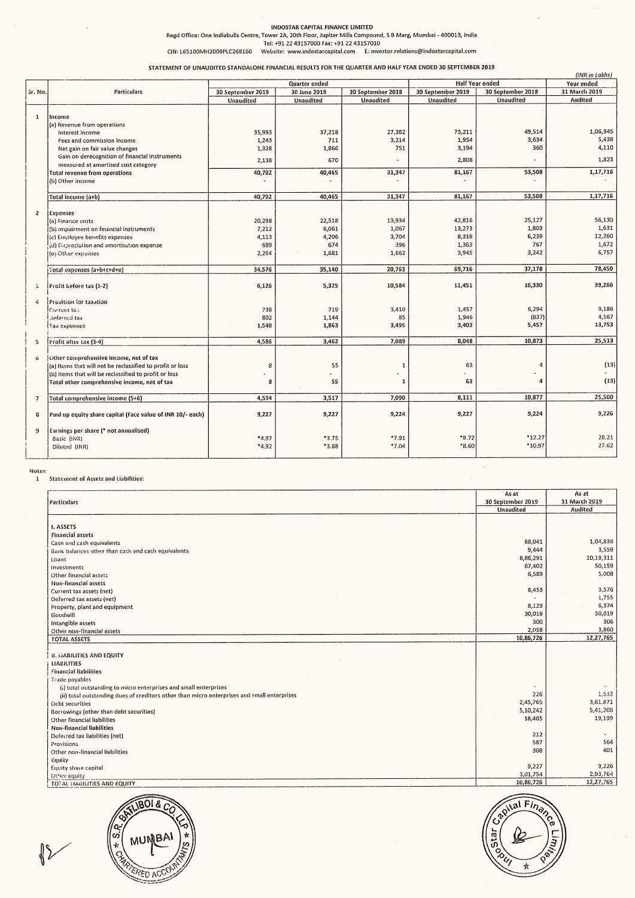#### INDOSTAR CAPITAL FINANCE LIMITED

#### STATEMENT OF UNAUDITED STANDALONE FINANCIAL RESULTS FOR THE QUARTER AND HALF YEAR ENDED 30 SEPTEMBER 2019

|                                                                                                                                      |                                                                                                                                                                    | Regd Office: One Indiabulls Centre, Tower 2A, 20th Floor, Jupiter Mills Compound, S B Marg, Mumbai - 400013, India<br>CIN: L65100MH2009PLC268160 | INDOSTAR CAPITAL FINANCE LIMITED<br>Tel: +91 22 43157000 Fax: +91 22 43157010 |                                | Website: www.indostarcapital.com E: investor.relations@indostarcapital.com |                                                   |                                        |
|--------------------------------------------------------------------------------------------------------------------------------------|--------------------------------------------------------------------------------------------------------------------------------------------------------------------|--------------------------------------------------------------------------------------------------------------------------------------------------|-------------------------------------------------------------------------------|--------------------------------|----------------------------------------------------------------------------|---------------------------------------------------|----------------------------------------|
|                                                                                                                                      |                                                                                                                                                                    | STATEMENT OF UNAUDITED STANDALONE FINANCIAL RESULTS FOR THE QUARTER AND HALF YEAR ENDED 30 SEPTEMBER 2019                                        |                                                                               |                                |                                                                            |                                                   | (INR in Lakhs)                         |
| Sr. No.                                                                                                                              | Particulars                                                                                                                                                        | 30 September 2019<br>Unaudited                                                                                                                   | Quarter ended<br>30 June 2019<br>Unaudited                                    | 30 September 2018<br>Unaudited | 30 September 2019<br>Unaudited                                             | Half Year ended<br>30 September 2018<br>Unaudited | Year ended<br>31 March 2019<br>Audited |
|                                                                                                                                      |                                                                                                                                                                    |                                                                                                                                                  |                                                                               |                                |                                                                            |                                                   |                                        |
|                                                                                                                                      | Income<br>(a) Revenue from operations                                                                                                                              |                                                                                                                                                  |                                                                               |                                |                                                                            |                                                   |                                        |
|                                                                                                                                      | Interest income<br>Fees and commission income<br>Net gain on fair value changes                                                                                    | 35,993<br>1,243<br>1,328                                                                                                                         | 37,218<br>711<br>1,866                                                        | 27,382<br>3,214<br>751         | 73,211<br>1,954<br>3,194                                                   | 49,514<br>3,634<br>360                            | 1,06,345<br>5,438<br>4,110             |
|                                                                                                                                      | Gain on derecognition of financial instruments<br>measured at amortised cost category<br>Total revenue from operations                                             | 2,138<br>40,702                                                                                                                                  | 670<br>40,465                                                                 | $\ddot{\phantom{1}}$<br>31,347 | 2,808<br>81,167                                                            | 53,508                                            | 1,823<br>1,17,716                      |
|                                                                                                                                      | (b) Other income<br>Total income (a+b)                                                                                                                             | 40,702                                                                                                                                           | 40,465                                                                        | 31,347                         | 81,167                                                                     | 53,508                                            | 1,17,716                               |
|                                                                                                                                      | Expenses<br>(a) Finance costs<br>(b) impairment on financial instruments                                                                                           | 20,298<br>7,212                                                                                                                                  | 22,518<br>6,061                                                               | 13,934<br>1,067                | 42,816<br>13,273                                                           | 25,127<br>1,803                                   | 56,130<br>1,631                        |
|                                                                                                                                      | (c) Employee benefits expenses<br>(d) Depreciation and amortisation expense<br>(e) Other expenses                                                                  | 4,113<br>689<br>2,264                                                                                                                            | 4,206<br>674<br>1,681                                                         | 3,704<br>396<br>1,662          | 8,319<br>1,363<br>3,945                                                    | 6,239<br>767<br>3,242                             | 12,260<br>1,672<br>6,757               |
|                                                                                                                                      | Total expenses (a+b+c+d+e)                                                                                                                                         | 34,576                                                                                                                                           | 35,140                                                                        | 20,763                         | 69,716                                                                     | 37,178                                            | 78,450                                 |
|                                                                                                                                      | Profit before tax (1-2)<br><b>Provision for taxation</b><br>Current tal:                                                                                           | 6,126<br>738                                                                                                                                     | 5,325<br>719                                                                  | 10,584<br>3,410                | 11,451<br>1,457                                                            | 16,330<br>6,294                                   | 39,266<br>9,186                        |
|                                                                                                                                      | Deferred tax<br>Tax expenses                                                                                                                                       | 802<br>1,540                                                                                                                                     | 1,144<br>1,863                                                                | 85<br>3,495                    | 1,946<br>3,403                                                             | (837)<br>5,457                                    | 4,567<br>13,753                        |
|                                                                                                                                      | Profit after tax (3-4)<br>Other comprehensive income, net of tax                                                                                                   | 4,586                                                                                                                                            | 3,462                                                                         | 7,089                          | 8,048                                                                      | 10,873                                            | 25,513                                 |
|                                                                                                                                      | (a) Items that will not be reclassified to profit or loss<br>(b) items that will be reclassified to profit or loss<br>Total other comprehensive income, net of tax | 8<br>8                                                                                                                                           | 55<br>$\bullet$<br>55                                                         | 1<br>٠<br>1                    | 63<br>63                                                                   | 4<br>$\bullet$<br>4                               | (13)<br>(13)                           |
|                                                                                                                                      | Total comprehensive income (5+6)<br>Paid up equity share capital (Face value of INR 10/- each)                                                                     | 4,594<br>9,227                                                                                                                                   | 3,517<br>9,227                                                                | 7,090<br>9,224                 | 8,111<br>9,227                                                             | 10,877<br>9,224                                   | 25,500<br>9,226                        |
|                                                                                                                                      | Earnings per share (* not annualised)<br>Basic (INR)                                                                                                               | $*4.97$                                                                                                                                          | $*3.75$                                                                       | $*7.91$                        | *8.72                                                                      | $*12.27$                                          | 28.21                                  |
|                                                                                                                                      | Diluted (INR)                                                                                                                                                      | $*4.92$                                                                                                                                          | $*3.68$                                                                       | $*7.04$                        | $*8.60$                                                                    | *10.97                                            | 27.62                                  |
|                                                                                                                                      | <b>Statement of Assets and Liabilities:</b>                                                                                                                        |                                                                                                                                                  |                                                                               |                                |                                                                            | As at                                             | As at                                  |
| $\mathbf{1}$<br>$\overline{2}$<br>ß.<br>4<br>-S<br>$\ddot{\mathbf{0}}$<br>$\overline{\mathbf{z}}$<br>8<br>9<br>Notes<br>$\mathbf{1}$ | Particulars                                                                                                                                                        |                                                                                                                                                  |                                                                               |                                |                                                                            | 30 September 2019<br>Unaudited                    | 31 March 2019<br>Audited               |
|                                                                                                                                      | I. ASSETS<br><b>Financial assets</b><br>Cash and cash equivalents<br>Bank balances other than cash and cash equivalents                                            |                                                                                                                                                  |                                                                               |                                |                                                                            | 68,041<br>9,444                                   | 1,04,838<br>3,559                      |
|                                                                                                                                      | Loans<br>Investments<br>Other financial assets                                                                                                                     |                                                                                                                                                  |                                                                               |                                |                                                                            | 8,86,291<br>67,402<br>6,589                       | 10,18,311<br>50,159<br>5,008           |
|                                                                                                                                      | Non-financial assets<br>Current tax assets (net)<br>Deferred tax assets (net)                                                                                      |                                                                                                                                                  |                                                                               |                                |                                                                            | 8,453                                             | 3,576<br>1,755                         |
|                                                                                                                                      | Property, plant and equipment<br>Goodwill<br>Intangible assets<br>Other non-financial assets                                                                       |                                                                                                                                                  |                                                                               |                                |                                                                            | 8,129<br>30,019<br>300<br>2,058                   | 6,374<br>30,019<br>306<br>3,860        |

# Notes i Statement of Assets and Liabilities:

| Expenses                                                                                    |        |         |         |        |                       |                       |
|---------------------------------------------------------------------------------------------|--------|---------|---------|--------|-----------------------|-----------------------|
| (a) Finance costs                                                                           | 20,298 | 22,518  | 13,934  | 42,816 | 25,127                | 56,130                |
|                                                                                             |        |         |         |        |                       |                       |
| (b) impairment on financial instruments                                                     | 7,212  | 6,061   | 1,067   | 13,273 | 1,803                 | 1,631                 |
| (c) Employee benefits expenses                                                              | 4,113  | 4,206   | 3,704   | 8,319  | 6,239                 | 12,260                |
|                                                                                             | 689    | 674     | 396     | 1,363  | 767                   | 1,672                 |
| (d) Depreciation and amortisation expense                                                   |        |         |         |        |                       |                       |
| (e) Other expenses                                                                          | 2,264  | 1,681   | 1,662   | 3,945  | 3,242                 | 6,757                 |
|                                                                                             |        |         |         |        |                       |                       |
|                                                                                             | 34,576 | 35,140  | 20,763  | 69,716 | 37,178                | 78,450                |
| Total expenses (a+b+c+d+e)                                                                  |        |         |         |        |                       |                       |
|                                                                                             |        |         |         |        |                       | 39,266                |
| Profit before tax (1-2)                                                                     | 6,126  | 5,325   | 10,584  | 11,451 | 16,330                |                       |
|                                                                                             |        |         |         |        |                       |                       |
| Provision for taxation                                                                      |        |         |         |        |                       |                       |
| Current ta.;                                                                                | 738    | 719     | 3,410   | 1,457  | 6,294                 | 9,186                 |
| Deferred tax                                                                                | 802    | 1,144   | 85      | 1,946  | (837)                 | 4,567                 |
|                                                                                             |        |         |         |        |                       |                       |
| līax expenses                                                                               | 1,540  | 1,863   | 3,495   | 3,403  | 5,457                 | 13,753                |
|                                                                                             |        |         |         |        |                       |                       |
| Profit after tax (3-4)                                                                      | 4,586  | 3,462   | 7,089   | 8,048  | 10,873                | 25,513                |
|                                                                                             |        |         |         |        |                       |                       |
| Other comprehensive income, net of tax                                                      |        |         |         |        |                       |                       |
|                                                                                             |        | 55      |         | 63     | 4                     | (13)                  |
| (a) Items that will not be reclassified to profit or loss                                   | 8      |         | 1       |        |                       |                       |
| (b) items that will be reclassified to profit or loss                                       |        |         | ٠       |        | ÷,                    |                       |
| Total other comprehensive income, net of tax                                                | 8      | 55      | 1       | 63     | 4                     | (13)                  |
|                                                                                             |        |         |         |        |                       |                       |
|                                                                                             |        |         |         |        |                       |                       |
| Total comprehensive income (5+6)                                                            | 4,594  | 3,517   | 7,090   | 8,111  | 10,877                | 25,500                |
|                                                                                             |        |         |         |        |                       |                       |
| Paid up equity share capital (Face value of INR 10/- each)                                  | 9,227  | 9,227   | 9,224   | 9,227  | 9,224                 | 9,226                 |
|                                                                                             |        |         |         |        |                       |                       |
| Earnings per share (* not annualised)                                                       |        |         |         |        |                       |                       |
|                                                                                             |        |         |         |        |                       | 28.21                 |
| Basic (INR)                                                                                 | *4.97  | $*3.75$ | $*7.91$ | *8.72  | *12.27                |                       |
| Diluted (INR)                                                                               | *4.92  | $*3.68$ | *7.04   | *8.60  | *10.97                | 27.62                 |
|                                                                                             |        |         |         |        |                       |                       |
| <b>Statement of Assets and Liabilities:</b>                                                 |        |         |         |        |                       | As at                 |
|                                                                                             |        |         |         |        |                       |                       |
|                                                                                             |        |         |         |        | As at                 |                       |
| Particulars                                                                                 |        |         |         |        | 30 September 2019     | 31 March 2019         |
|                                                                                             |        |         |         |        | Unaudited             | Audited               |
|                                                                                             |        |         |         |        |                       |                       |
| I. ASSETS                                                                                   |        |         |         |        |                       |                       |
|                                                                                             |        |         |         |        |                       |                       |
| <b>Financial assets</b>                                                                     |        |         |         |        |                       |                       |
| Cash and cash equivalents                                                                   |        |         |         |        | 68,041                | 1,04,838              |
|                                                                                             |        |         |         |        | 9,444                 | 3,559                 |
| Bank balances other than cash and cash equivalents                                          |        |         |         |        |                       |                       |
| Loans                                                                                       |        |         |         |        | 8,86,291              | 10,18,311             |
| Investments                                                                                 |        |         |         |        | 67,402                | 50,159                |
|                                                                                             |        |         |         |        | 6,589                 | 5,008                 |
| Other financial assets                                                                      |        |         |         |        |                       |                       |
| Non-financial assets                                                                        |        |         |         |        |                       |                       |
| Current tax assets (net)                                                                    |        |         |         |        | 8,453                 | 3,576                 |
|                                                                                             |        |         |         |        |                       | 1,755                 |
| Deferred tax assets (net)                                                                   |        |         |         |        |                       |                       |
| Property, plant and equipment                                                               |        |         |         |        | 8,129                 | 6,374                 |
| Goodwill                                                                                    |        |         |         |        | 30,019                | 30,019                |
| Intangible assets                                                                           |        |         |         |        | 300                   | 306                   |
|                                                                                             |        |         |         |        | 2,058                 | 3,860                 |
| Other non-financial assets                                                                  |        |         |         |        |                       |                       |
| <b>TOTAL ASSETS</b>                                                                         |        |         |         |        | 10,86,726             |                       |
|                                                                                             |        |         |         |        |                       |                       |
| <b>II. LIABILITIES AND EQUITY</b>                                                           |        |         |         |        |                       |                       |
| LIABILITIES                                                                                 |        |         |         |        |                       |                       |
|                                                                                             |        |         |         |        |                       |                       |
| <b>Financial liabilities</b>                                                                |        |         |         |        |                       | 12,27,765             |
| Trade payables                                                                              |        |         |         |        |                       |                       |
| (i) total outstanding to micro enterprises and small enterprises                            |        |         |         |        |                       |                       |
| (ii) total outstanding dues of creditors other than micro enterprises and small enterprises |        |         |         |        | 226                   | 1,532                 |
|                                                                                             |        |         |         |        | 2,45,765              | 3,61,871              |
| Debt securities                                                                             |        |         |         |        |                       |                       |
| Borrowings (other than debt securities)                                                     |        |         |         |        | 5,10,242              | 5,41,208              |
| Other financial liabilities                                                                 |        |         |         |        | 18,405                | 19,199                |
|                                                                                             |        |         |         |        |                       |                       |
| Non-financial liabilities                                                                   |        |         |         |        |                       |                       |
| Deferred tax liabilities (net)                                                              |        |         |         |        | 212                   |                       |
| Provisions.                                                                                 |        |         |         |        | 587                   | 564                   |
| Other non-financial liabilities                                                             |        |         |         |        | 308                   | 401                   |
|                                                                                             |        |         |         |        |                       |                       |
| Equity                                                                                      |        |         |         |        |                       |                       |
| Equity share capital                                                                        |        |         |         |        | 9,227                 | 9,226                 |
| Other equity<br>TOTAL LIABILITIES AND EQUITY                                                |        |         |         |        | 3,01,754<br>10,86,726 | 2,93,764<br>12,27,765 |



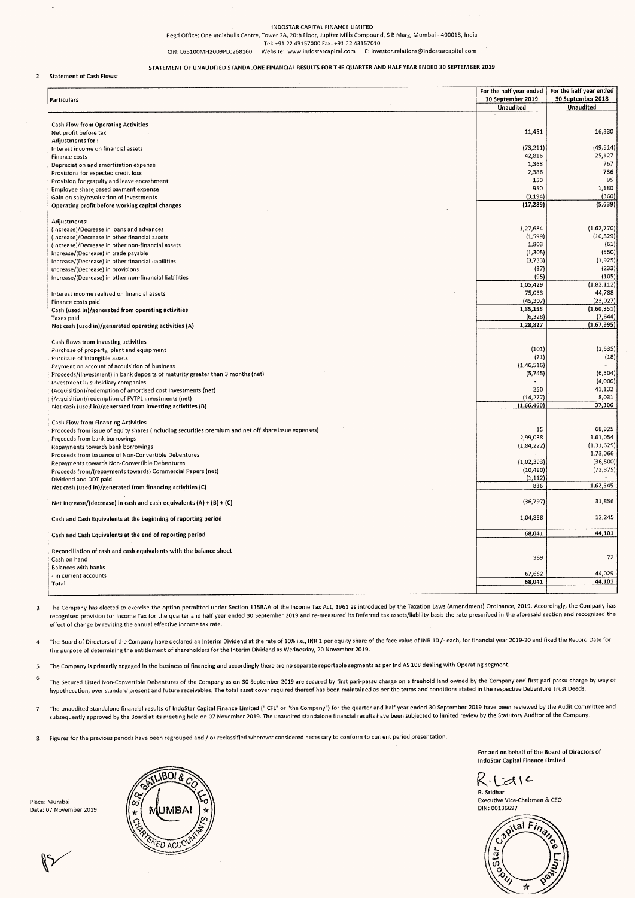#### INDOSTAR CAPITAL FINANCE LIMITED

#### Statement of Cash Flows:  $\overline{2}$

| $\sim$                                                                                                                                                                                                                                                                                                          |                                       |                                       |
|-----------------------------------------------------------------------------------------------------------------------------------------------------------------------------------------------------------------------------------------------------------------------------------------------------------------|---------------------------------------|---------------------------------------|
| INDOSTAR CAPITAL FINANCE LIMITED<br>Regd Office: One Indiabulls Centre, Tower 2A, 20th Floor, Jupiter Mills Compound, S B Marg, Mumbai - 400013, India<br>Tel: +91 22 43157000 Fax: +91 22 43157010<br>Website: www.indostarcapital.com E: investor.relations@indostarcapital.com<br>CIN: L65100MH2009PLC268160 |                                       |                                       |
| STATEMENT OF UNAUDITED STANDALONE FINANCIAL RESULTS FOR THE QUARTER AND HALF YEAR ENDED 30 SEPTEMBER 2019<br><b>Statement of Cash Flows:</b>                                                                                                                                                                    | For the half year ended               | For the half year ended               |
| Particulars                                                                                                                                                                                                                                                                                                     | 30 September 2019<br><b>Unaudited</b> | 30 September 2018<br><b>Unaudited</b> |
| Cash Flow from Operating Activities<br>Net profit before tax<br>Adjustments for:                                                                                                                                                                                                                                | 11,451                                |                                       |
|                                                                                                                                                                                                                                                                                                                 |                                       | 16,330                                |
| Interest income on financial assets<br>Finance costs<br>Depreciation and amortisation expense                                                                                                                                                                                                                   | (73, 211)<br>42,816<br>1,363          | (49, 514)<br>25,127<br>767            |
| Provisions for expected credit loss<br>Provision for gratuity and leave encashment                                                                                                                                                                                                                              | 2,386<br>150<br>950                   | 736<br>95<br>1,180                    |
| Employee share based payment expense<br>Gain on sale/revaluation of investments<br>Operating profit before working capital changes                                                                                                                                                                              | (3, 194)<br>(17, 289)                 | (360)<br>(5,639)                      |
| Adjustments:<br>(Increase)/Decrease in loans and advances                                                                                                                                                                                                                                                       | 1,27,684                              | (1,62,770)                            |
| (Increase)/Decrease in other financial assets<br>(Increase)/Decrease in other non-financial assets                                                                                                                                                                                                              | (1, 599)<br>1,803                     | (10, 829)<br>(61)                     |
| Increase/(Decrease) in trade payable<br>Increase/(Decrease) in other financial liabilities<br>Increase/(Decrease) in provisions                                                                                                                                                                                 | (1, 305)<br>(3,733)<br>(37)           | (550)<br>(1,925)<br>(233)             |
| Increase/(Decrease) in other non-financial liabilities<br>Interest income realised on financial assets                                                                                                                                                                                                          | (95)<br>1,05,429<br>75,033            | (105)<br>(1,82,112)<br>44,788         |
| Finance costs paid<br>Cash (used in)/generated from operating activities                                                                                                                                                                                                                                        | (45, 307)<br>1,35,155                 | (23,027)<br>(1,60,351)                |
| Taxes paid<br>Net cash (used in)/generated operating activities (A)                                                                                                                                                                                                                                             | (6, 328)<br>1,28,827                  | (7,644)<br>(1,67,995)                 |
| Cash flows trom investing activities<br>Purchase of property, plant and equipment                                                                                                                                                                                                                               | (101)<br>(71)                         | (1, 535)                              |
| Purchase of intangible assets<br>Payment on account of acquisition of business<br>Proceeds/(Investment) in bank deposits of maturity greater than 3 months (net)                                                                                                                                                | (1, 46, 516)<br>(5,745)               | (18)<br>(6, 304)                      |
| Investment in subsidiary companies<br>(Acquisition)/redemption of amortised cost investments (net)                                                                                                                                                                                                              | 250<br>(14, 277)                      | (4,000)<br>41,132<br>8,031            |
| (Acquisition)/redemption of FVTPL investments (net)<br>Net cash (used in)/generated from investing activities (B)                                                                                                                                                                                               | (1,66,460)                            | 37,306                                |
| <b>Cash Flow from Financing Activities</b><br>Proceeds from issue of equity shares (including securities premium and net off share issue expenses)<br>Proceeds from bank borrowings                                                                                                                             | 15<br>2,99,038                        | 68,925<br>1,61,054                    |
| Repayments towards bank borrowings<br>Proceeds from issuance of Non-Convertible Debentures<br>Repayments towards Non-Convertible Debentures                                                                                                                                                                     | (1,84,222)<br>(1,02,393)              | (1, 31, 625)<br>1,73,066<br>(36, 500) |
| Proceeds from/(repayments towards) Commercial Papers (net)<br>Dividend and DDT paid<br>Net cash (used in)/generated from financing activities (C)                                                                                                                                                               | (10, 490)<br>(1, 112)<br>836          | (72, 375)<br>1,62,545                 |
| Net Increase/(decrease) in cash and cash equivalents (A) + (B) + (C)                                                                                                                                                                                                                                            | (36,797)                              | 31,856                                |
| Cash and Cash Equivalents at the beginning of reporting period                                                                                                                                                                                                                                                  | 1,04,838                              | 12,245                                |
| Cash and Cash Equivalents at the end of reporting period                                                                                                                                                                                                                                                        | 68,041                                | 44,101                                |
| Reconciliation of cash and cash equivalents with the balance sheet<br>Cash on hand<br><b>Balances with banks</b><br>in current accounts -                                                                                                                                                                       | 389<br>67,652                         | 72<br>44,029                          |

The Company has elected to exercise the option permitted under Section 115BAA of the Income Tax Act, 1961 as introduced by the Taxation Laws {Amendment} Ordinance, 2019. Accordingly, the Company has 3 recognised provision for Income Tax for the quarter and half year ended 30 September 2019 and re-measured its Deferred tax assets/liability basis the rate prescribed in the aforesaid section and recognised the effect of change by revising the annual effective income tax rate.

The Board of Directors of the Company have declared an Interim Dividend at the rate of 10% i.e., INR 1 per equity share of the face value of INR 10 /- each, for financial year 2019-20 and fixed the Record Date for  $\overline{a}$ the purpose of determining the entitlement of shareholders for the interim Dividend as Wednesday, 20 November 2019.

The Company is primarily engaged in the business of financing and accordingly there are no separate reportable segments as per Ind AS 108 dealing with Operating segment. 5

6 The Secured Listed Non-Convertible Debentures of the Company as on 30 September 2019 are secured by first pari-passu charge on a freehold land owned by the Company and first pari-passu charge by way of hypothecation, over standard present and future receivables. The total asset cover required thereof has been maintained as per the terms and conditions stated in the respective Debenture Trust Deeds.

The unaudited standalone financial results of IndoStar Capital Finance Limited ("ICFL" or "the Company") for the quarter and half year ended 30 September 2019 have been reviewed by the Audit Committee and  $\overline{7}$ subsequently approved by the Board at its meeting held on 07 November 2019. The unaudited standalone financial results have been subjected to limited review by the Statutory Auditor of the Company

Figures for the previous periods have been regrouped and / or reclassified wherever considered necessary to conform to current period presentation.  $\mathbf{8}$ 

> For and on behalf of the Board of Directors of IndoStar Capital Finance Limited

Ricaic R. Sridhar

Executive Vice-Chairman & CEO DIN: 00136697





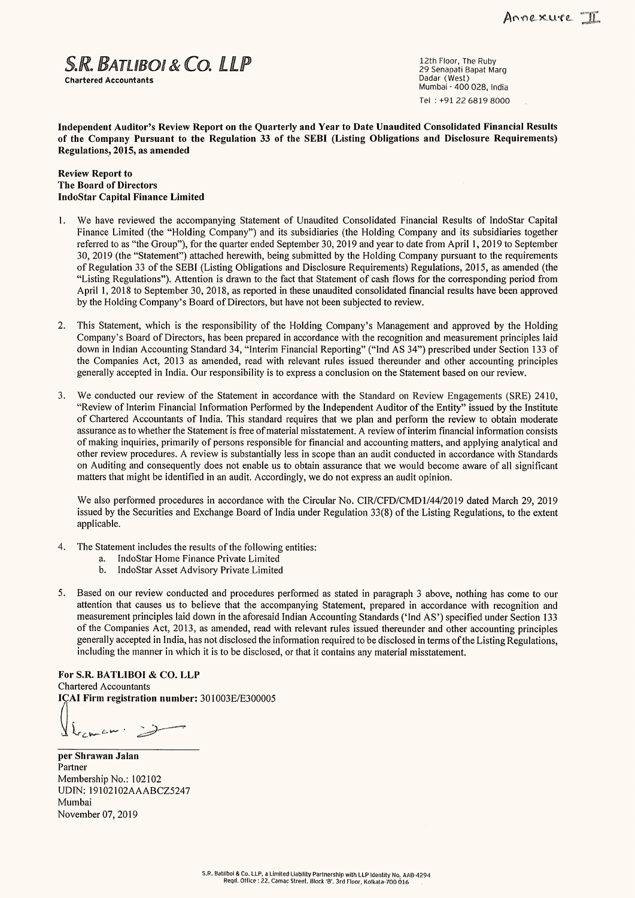$S.R.$   $BATLIBO I & CO.$   $LLP$   $\sum_{\text{29 Senapat Bapat Marga}}$   $\sum_{\text{25 Senapat Bapat Marga}}$ 

Chartered Accountants والمستخدم المستخدم المستخدم المستخدم المستخدم المستخدم المستخدم المستخدم المستخدم المستخدم ال<br>Mumbai - 400 028, India Tel : +91 22 6819 8000

Independent Auditor's Review Report on the Quarterly and Year to Date Unaudited Consolidated Financial Results of the Company Pursuant to the Regulation 33 of the SEBI (Listing Obligations and Disclosure Requirements) Regulations, 2015, as amended

#### Review Report to The Board of Directors IndoStar Capital Finance Limited

- 1. We have reviewed the accompanying Statement of Unaudited Consolidated Financial Results of IndoStar Capital Finance Limited (the "Holding Company") and its subsidiaries (the Holding Company and its subsidiaries together referred to as "the Group"), for the quarter ended September 30, 2019 and year to date from April 1, 2019 to September 30, 2019 (the "Statement'") attached herewith, being submitted by the Holding Company pursuant to the requirements of Regulation 33 of the SEBI (Listing Obligations and Disclosure Requirements) Regulations, 2015, as amended (the "Listing Regulations"). Attention is drawn to the fact that Statement of cash flows for the corresponding period from April 1, 2018 to September 30, 2018, as reported in these unaudited consolidated financial results have been approved by the Holding Company's Board of Directors, but have not been subjected to review.
- 2. This Statement, which is the responsibility of the Holding Company's Management and approved by the Holding Company's Board of Directors, has been prepared in accordance with the recognition and measurement principles laid down in Indian Accounting Standard 34, "Interim Financial Reporting" ("Ind AS 34") prescribed under Section 133 of the Companies Act, 2013 as amended, read with relevant rules issued thereunder and other accounting principles generally accepted in India. Our responsibility is to express a conclusion on the Statement based on our review.
- 3. We conducted our review of the Statement in accordance with the Standard on Review Engagements (SRE) 2410, "Review of Interim Financial Information Performed by the Independent Auditor of the Entity" issued by the Institute of Chartered Accountants of India. This standard requires that we plan and perform the review to obtain moderate assurance as to whether the Statement is free of material misstatement. A review of interim financial information consists of making inquiries, primarily of persons responsible for financial and accounting matters, and applying analytical and other review procedures. A review is substantially less in scope than an audit conducted in accordance with Standards on Auditing and consequently does not enable us to obtain assurance that we would become aware of all significant matters that might be identified in an audit. Accordingly, we do not express an audit opinion.

We also performed procedures in accordance with the Circular No. CIR/CFD/CMD1/44/2019 dated March 29, 2019 issued by the Securities and Exchange Board of India under Regulation 33(8) of the Listing Regulations, to the extent applicable.

- 4, The Statement includes the results of the following entities:
	- a. IndoStar Home Finance Private Limited
	- b. IndoStar Asset Advisory Private Limited
- 5. Based on our review conducted and procedures performed as stated in paragraph 3 above, nothing has come to our attention that causes us to believe that the accompanying Statement, prepared in accordance with recognition and measurement principles laid down in the aforesaid Indian Accounting Standards ('Ind AS') specified under Section 133 of the Companies Act, 2013, as amended, read with relevant rules issued thereunder and other accounting principles generally accepted in India, has not disclosed the information required to be disclosed in terms of the Listing Regulations, including the manner in which it is to be disclosed, or that it contains any material misstatement.

For S.R. BATLIBOI & CO. LLP Chartered Accountants ICAI Firm registration number: 301003E/E300005 measurement<br>of the Comp<br>generally acc<br>including the<br>For S.R. BATLI<br>Chartered Accour<br>ICAI Firm regist<br> $\left\{\begin{array}{ccc}\right. & \left.\right. & \left.\right. & \left. & \right. & \left. & \right. & \left. & \right. & \left. & \right. & \left. & \right. & \left. & \right. & \left. & \right. & \left. & \right. & \left. & \right. & \left. & \right. & \left. & \right. & \left. & \right.$ 

 $L_{c}$  we we  $\Rightarrow$ 

per Shrawan Jalan Partner Membership No.: 102102 UDIN: 19102102AAABCZ5247 Mumbai November 07, 2019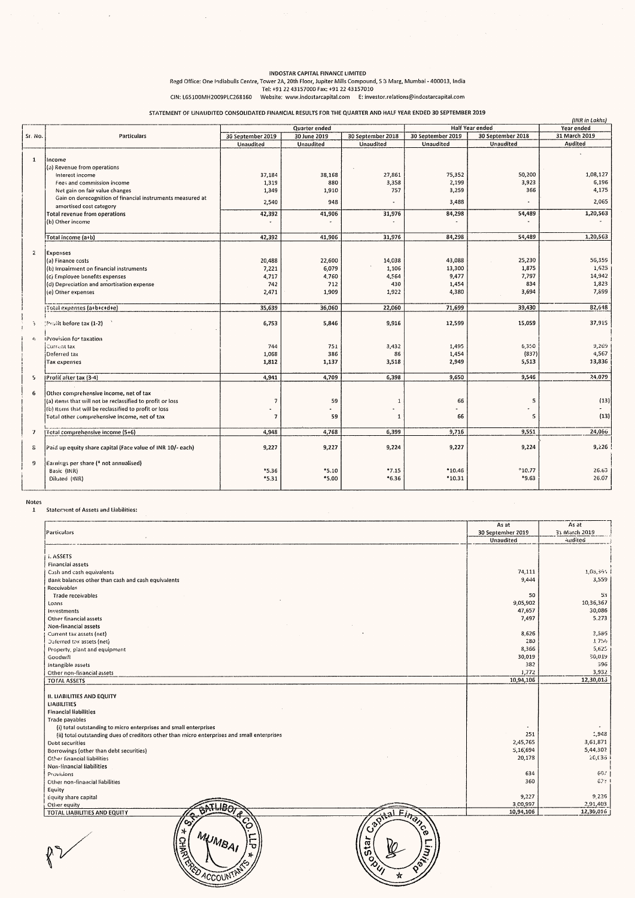# Regd Office: One Indiabulls Centre, Tower 2A, 20th Floor, Jupiter Mills Compound, S & Marg, Mumbai - 400013, india CIN: L65200MH2009PLC268160 INDOSTAR CAPITAL FINANCE LIMITED Tel: +91 22 43157000 Fax: +91 22 43157010 Website: www.indostarcapital.com E: investor.relations@indostarcapital.com INDOSTAR CAPITA<br>
Regd Office: One Indiabulls Centre, Tower 2A, 20th Floor,<br>
Tel: +91 22 43157000<br>
CIN: L65100MH2009PLC268160 Website: www.indost.<br>
STATEMENT OF UNAUDITED CONSOLIDATED FINANCIAL RESULTS INDOSTAR CAPITAL FINANCE LIMITED<br>
IRDOSTAR CAPITAL FINANCE LIMITED<br>
Tel: +91 22 43157000 Fax: +91 22 43157010<br>
9PLC268160 Website: www.indostarcapital.com E: investor.relations@i<br>
D CONSOLIDATED FINANCIAL RESULTS FOR THE Q

|                             | a de la construcción de la construcción de la construcción de la construcción de la construcción de la constru<br>En 1930, en la construcción de la construcción de la construcción de la construcción de la construcción de la |                                                                                                                    |                                                          |                                                                            |                                    | $\label{eq:2.1} \mathcal{L}_{\mathcal{A}}(x,y) = \mathcal{L}_{\mathcal{A}}(x,y) \mathcal{L}_{\mathcal{A}}(x,y) = \mathcal{L}_{\mathcal{A}}(x,y) \mathcal{L}_{\mathcal{A}}(x,y) = \mathcal{L}_{\mathcal{A}}(x,y) \mathcal{L}_{\mathcal{A}}(x,y)$ |                                                          |
|-----------------------------|---------------------------------------------------------------------------------------------------------------------------------------------------------------------------------------------------------------------------------|--------------------------------------------------------------------------------------------------------------------|----------------------------------------------------------|----------------------------------------------------------------------------|------------------------------------|-------------------------------------------------------------------------------------------------------------------------------------------------------------------------------------------------------------------------------------------------|----------------------------------------------------------|
|                             |                                                                                                                                                                                                                                 | Regd Office: One Indiabulls Centre, Tower 2A, 20th Floor, Jupiter Mills Compound, S 3 Marg, Mumbai - 400013, India | INDOSTAR CAPITAL FINANCE LIMITED                         |                                                                            |                                    |                                                                                                                                                                                                                                                 |                                                          |
|                             | CIN: L65100MH2009PLC268160<br>STATEMENT OF UNAUDITED CONSOLIDATED FINANCIAL RESULTS FOR THE QUARTER AND HALF YEAR ENDED 30 SEPTEMBER 2019                                                                                       |                                                                                                                    | Tel: +91 22 43157000 Fax: +91 22 43157010                | Website: www.indostarcapital.com E: investor.relations@indostarcapital.com |                                    |                                                                                                                                                                                                                                                 |                                                          |
| Sr. No.                     | Particulars                                                                                                                                                                                                                     | 30 September 2019<br>Unaudited                                                                                     | <b>Quarter</b> ended<br>30 June 2019<br><b>Unaudited</b> | 30 September 2018<br>Unaudited                                             | 30 September 2019<br>Unaudited     | Half Year ended<br>30 September 2018<br>Unaudited                                                                                                                                                                                               | (INR in Lakhs)<br>Year ended<br>31 March 2019<br>Audited |
| $\mathbf{1}$                | lincome<br>(a) Revenue from operations<br>Interest income                                                                                                                                                                       | 37,184                                                                                                             | 38,168                                                   | 27,861                                                                     | 75,352                             | 50,200                                                                                                                                                                                                                                          | 1,08,127                                                 |
|                             | Fees and commission income<br>Net gain on fair value changes<br>Gain on derecognition of financial instruments measured at<br>amortised cost category                                                                           | 1,319<br>1,349<br>2,540                                                                                            | 880<br>1,910<br>948                                      | 3,358<br>757                                                               | 2,199<br>3,259<br>3,488            | 3,923<br>366                                                                                                                                                                                                                                    | 6,196<br>4,175                                           |
|                             | Total revenue from operations                                                                                                                                                                                                   | 42,392                                                                                                             | 41,906                                                   | 31,976                                                                     |                                    |                                                                                                                                                                                                                                                 | 2,065                                                    |
|                             | (b) Other income<br>Total income (a+b)                                                                                                                                                                                          | $\ddot{\phantom{1}}$<br>42,392                                                                                     | 41,906                                                   | 31,976                                                                     | 84,298<br>$\blacksquare$<br>84,298 | 54,489<br>54,489                                                                                                                                                                                                                                | 1,20,563<br>1,20,563                                     |
| z                           | Expenses<br>(a) Finance costs                                                                                                                                                                                                   | 20,488                                                                                                             | 22,600                                                   | 14,038                                                                     | 43,088                             | 25,230                                                                                                                                                                                                                                          | 56,359<br>1,625                                          |
|                             | (b) Impairment on financial instruments<br>(c) Employee benefits expenses<br>(d) Depreciation and amortisation expense<br>(e) Other expenses                                                                                    | 7,221<br>4,717<br>742<br>2,471                                                                                     | 6,079<br>4,760<br>712<br>1,909                           | 1,106<br>4,564<br>430<br>1,922                                             | 13,300<br>9,477<br>1,454<br>4,380  | 1,875<br>7,797<br>834<br>3,694                                                                                                                                                                                                                  | 14,942<br>1,823<br>7,899                                 |
| $\tilde{\mathcal{F}}$       | Total expenses (a+b+c+d+e)<br>Profit before tax (1-2)                                                                                                                                                                           | 35,639<br>6,753                                                                                                    | 36,060<br>5,846                                          | 22,060<br>9,916                                                            | 71,699<br>12,599                   | 39,430<br>15,059                                                                                                                                                                                                                                | 82,648<br>37,915                                         |
| $\mathfrak{c}_\mathfrak{f}$ | <b>IProvision for taxation</b><br>Current tax<br>Deferred tax<br>Tax expenses                                                                                                                                                   | 744<br>1,068<br>1,812                                                                                              | 751<br>386<br>1,137                                      | 3,432<br>86<br>3,518                                                       | 1,495<br>1,454<br>2,949            | 6,350<br>(837)<br>5,513                                                                                                                                                                                                                         | 9,269<br>4,567<br>13,836                                 |
| 5<br>6                      | Profit after tax (3-4)<br>Other comprehensive income, net of tax                                                                                                                                                                | 4,941                                                                                                              | 4,709                                                    | 6,398                                                                      | 9,650                              | 9,546                                                                                                                                                                                                                                           | 24,079                                                   |
|                             | (a) items that will not be reclassified to profit or loss<br>(b) Items that will be reclassified to profit or loss<br>Total other comprehensive income, net of tax                                                              | $\overline{7}$<br>$\overline{\phantom{a}}$<br>$\overline{7}$                                                       | 59<br>59                                                 | $\mathbf{1}$<br>$\mathbf{1}$                                               | 66<br>66                           | $\mathfrak{s}$<br>٠<br>5                                                                                                                                                                                                                        | (13)<br>(13)                                             |
| $\mathbf{7}$<br>ε           | [Total comprehensive income (5+6)<br>Paid up equity share capital (Face value of INR 10/- each)                                                                                                                                 | 4,948<br>9,227                                                                                                     | 4,768<br>9,227                                           | 6,399<br>9,224                                                             | 9,716<br>9,227                     | 9,551<br>9,224                                                                                                                                                                                                                                  | 24,066<br>9,226                                          |
| 9                           | Earnings per share (* not annualised)<br>Basic (INR)<br>Diluted (INR)                                                                                                                                                           | *5.36<br>$*5.31$                                                                                                   | $*_{5.10}$<br>*5.00                                      | $*7.15$<br>$*6.36$                                                         | $*10.46$<br>$*10.31$               | $*10.77$<br>*9.63                                                                                                                                                                                                                               | 26.63<br>26.07                                           |
| Notes<br>$\mathbf{1}$       | Statement of Assets and Liabilities:                                                                                                                                                                                            |                                                                                                                    |                                                          |                                                                            |                                    |                                                                                                                                                                                                                                                 |                                                          |
|                             | Particulars                                                                                                                                                                                                                     |                                                                                                                    |                                                          |                                                                            |                                    | As at<br>30 September 2019<br><b>Unaudited</b>                                                                                                                                                                                                  | As at<br>31 March 2019<br>Audited                        |
|                             | L ASSETS<br>Financial assets<br>Cash and cash equivalents<br>Bank balances other than cash and cash equivalents                                                                                                                 |                                                                                                                    |                                                          |                                                                            |                                    | 74,111<br>9,444                                                                                                                                                                                                                                 | 1,08,364<br>3,559                                        |
|                             | <b>Receivables</b><br>Trade receivables<br>Loans<br>Investments                                                                                                                                                                 |                                                                                                                    |                                                          |                                                                            |                                    | 50<br>9,05,902<br>47,657                                                                                                                                                                                                                        | 53<br>10,36,367<br>30,086                                |
|                             | Other financial assets<br>Non-financial assets<br>Current tax assets (net)<br>Deferred tax assets (net)<br>Property, plant and equipment                                                                                        |                                                                                                                    |                                                          | $\sim$                                                                     |                                    | 7,497<br>8,626<br>280<br>8,366                                                                                                                                                                                                                  | 5,273<br>3,586<br>1.756<br>5,625                         |

Accour

#### L Statement of Assets and Liabilities:

| Expenses                                                                                                         |                |         |                  |                    |                                   |                                    |
|------------------------------------------------------------------------------------------------------------------|----------------|---------|------------------|--------------------|-----------------------------------|------------------------------------|
| (a) Finance costs                                                                                                | 20,488         | 22,600  | 14,038           | 43,088             | 25,230                            | 56,359                             |
| (b) Impairment on financial instruments                                                                          | 7,221          | 6,079   | 1,106            | 13,300             | 1,875                             | 1,625                              |
| (c) Employee benefits expenses                                                                                   | 4,717          | 4,760   | 4,564            | 9,477              | 7,797                             | 14,942                             |
| (d) Depreciation and amortisation expense                                                                        | 742            | 712     | 430              | 1,454              | 834                               | 1,823                              |
| (e) Other expenses                                                                                               | 2,471          | 1,909   | 1,922            | 4,380              | 3,694                             | 7,899                              |
| Total expenses (a+b+c+d+e)                                                                                       | 35,639         | 36,060  | 22,060           | 71,699             | 39,430                            | 82,648                             |
| Profit before tax (1-2)                                                                                          | 6,753          | 5,846   | 9,916            | 12,599             | 15,059                            | 37,915                             |
| Provision for taxation                                                                                           |                |         |                  |                    |                                   |                                    |
| Current tax                                                                                                      | 744            | 751     | 3,432            | 1,495              | 6,350                             | 9,269                              |
| Deferred tax                                                                                                     | 1,068          | 386     | 86               | 1,454              | (837)                             | 4,567                              |
| Tax expenses                                                                                                     | 1,812          | 1,137   | 3,518            | 2,949              | 5,513                             | 13,836                             |
| Profit after tax (3-4)                                                                                           | 4,941          | 4,709   | 6,398            | 9,650              | 9,546                             | 24,079                             |
| Other comprehensive income, net of tax                                                                           |                |         |                  |                    |                                   |                                    |
| (a) items that will not be reclassified to profit or loss                                                        | $\overline{7}$ | 59      | 1                | 66                 | 5                                 | (13)                               |
| (b) Items that will be reclassified to profit or loss                                                            |                |         |                  |                    |                                   |                                    |
| Total other comprehensive income, net of tax                                                                     | $\overline{7}$ | 59      | $\mathbf{1}$     | 66                 | 5                                 | (13)                               |
| Total comprehensive income (5+6)                                                                                 | 4,948          | 4,768   | 6,399            | 9,716              | 9,551                             | 24,066                             |
|                                                                                                                  |                |         |                  |                    |                                   |                                    |
| Paid up equity share capital (Face value of INR 10/- each)                                                       | 9,227          | 9,227   | 9,224            | 9,227              | 9,224                             | 9,226                              |
| Earnings per share (* not annualised)                                                                            |                |         |                  |                    |                                   |                                    |
| Basic (INR)                                                                                                      | *5.36          | $*5.10$ | $*7.15$          | *10.46             | $*10.77$                          | 26.63                              |
| Diluted (INR)                                                                                                    | $*5.31$        | *5.00   | $*6.36$          | $*10.31$           | *9.63                             | 26.07                              |
| <b>Statement of Assets and Liabilities:</b>                                                                      |                |         |                  |                    | As at                             | As at                              |
| Particulars                                                                                                      |                |         |                  |                    | 30 September 2019<br>Unaudited    | 31 March 2019<br>Audited           |
| I. ASSETS<br>Financial assets<br>Cash and cash equivalents<br>Bank balances other than cash and cash equivalents |                |         |                  |                    | 74,111<br>9,444                   | 1,08,364<br>3,559                  |
| <b>Receivables</b><br>Trade receivables<br>Loans<br>Investments<br>Other financial assets                        |                |         |                  |                    | 50<br>9,05,902<br>47,657<br>7,497 | 53<br>10,36,367<br>30,086<br>5,273 |
| Non-financial assets<br>Current tax assets (net)                                                                 |                |         |                  |                    | 8,626                             | 3,586                              |
| Deferred tax assets (net)                                                                                        |                |         |                  |                    | 280                               | 1.756                              |
| Property, plant and equipment                                                                                    |                |         |                  |                    | 8,366                             | 5,625                              |
| Goodwill                                                                                                         |                |         |                  |                    | 30,019                            | 50,019                             |
| Intangible assets                                                                                                |                |         |                  |                    | 382                               | 396                                |
| Other non-financial assets                                                                                       |                |         |                  |                    | 1,772                             | 3,932                              |
| TOTAL ASSETS                                                                                                     |                |         |                  |                    | 10,94,106                         | 12,30,015                          |
| <b>II. LIABILITIES AND EQUITY</b><br><b>LIABILITIES</b><br><b>Financial liabilities</b>                          |                |         |                  |                    |                                   |                                    |
| Trade payables<br>(i) total outstanding to micro enterprises and small enterprises                               |                |         |                  |                    |                                   |                                    |
| (ii) total outstanding dues of creditors other than micro enterprises and small enterprises                      |                |         |                  |                    | 251                               | 1,948                              |
| Debt securities                                                                                                  |                |         |                  |                    | 2,45,765                          | 3,61,871                           |
| Borrowings (other than debt securities)                                                                          |                |         |                  |                    | 5,16,694                          | 5,44,30?                           |
| Other financial liabilities                                                                                      |                |         |                  |                    | 20,178                            | 20,036                             |
| Non-financial liabilities                                                                                        |                |         |                  |                    | 634                               | 607                                |
| Provisions<br>Other non-financial liabilities                                                                    |                |         |                  |                    | 360                               | 623                                |
| Equity                                                                                                           |                |         |                  |                    |                                   |                                    |
| Equity share capital                                                                                             |                |         |                  |                    | 9,227                             | 9,226                              |
| Other equity                                                                                                     |                |         |                  |                    | 3,00,997<br>10,94,106             | 2,91,403<br>12,30,016              |
| TOTAL LIABILITIES AND EQUITY                                                                                     |                |         |                  |                    |                                   |                                    |
| رت<br>MUMBAI<br>呈表                                                                                               |                |         | Capi<br>ິວ<br>ວ່ | Einance \<br>רושי? |                                   |                                    |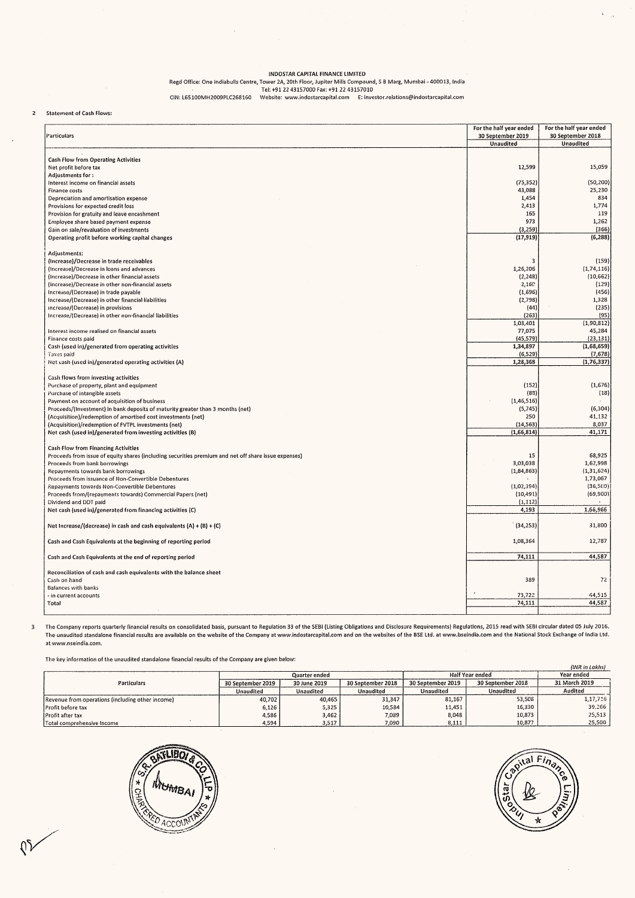# INDOSTAR CAPITAL FINANCE LIMITED Regd Office: One Indiabulls Centre, Tower 2A, 20th Floor, Jupiter Mills Compound, S B Marg, Mumbai - 400013, India Tek: +91 22 43157000 Fax: +91 22 43157010 CIN: L65100MH2009PLC268160 Website: www.indostarcapital.com E: investor.relations@indostarcapital.com

 $\overline{2}$ 

 $\overline{\mathbf{3}}$ 

 $\bar{ }$ 

| $\sim 10^{11}$                                                                                                                                                                                                                                                                                                                                                                                                                                                                                                                                                                                                                                                                                                                                                                                                                                                                                                                                                                                                                                                                                                                                                                                           |                            |                                                                                                                    | $\mathcal{L}(\mathcal{L})$ , $\mathcal{L}(\mathcal{L})$ , $\mathcal{L}(\mathcal{L})$<br>$\sim 10^{-11}$ | $\sim 10^{11}$                                                             | $\sim 100$<br>$\sim 10^{-11}$            | <b>Carl Corporation</b>                                   | $\lambda_{\rm{max}}$                                                                                              |
|----------------------------------------------------------------------------------------------------------------------------------------------------------------------------------------------------------------------------------------------------------------------------------------------------------------------------------------------------------------------------------------------------------------------------------------------------------------------------------------------------------------------------------------------------------------------------------------------------------------------------------------------------------------------------------------------------------------------------------------------------------------------------------------------------------------------------------------------------------------------------------------------------------------------------------------------------------------------------------------------------------------------------------------------------------------------------------------------------------------------------------------------------------------------------------------------------------|----------------------------|--------------------------------------------------------------------------------------------------------------------|---------------------------------------------------------------------------------------------------------|----------------------------------------------------------------------------|------------------------------------------|-----------------------------------------------------------|-------------------------------------------------------------------------------------------------------------------|
|                                                                                                                                                                                                                                                                                                                                                                                                                                                                                                                                                                                                                                                                                                                                                                                                                                                                                                                                                                                                                                                                                                                                                                                                          |                            | $\alpha$ , $\alpha$ , $\alpha$                                                                                     |                                                                                                         |                                                                            | $\sim 10^{-1}$                           |                                                           |                                                                                                                   |
|                                                                                                                                                                                                                                                                                                                                                                                                                                                                                                                                                                                                                                                                                                                                                                                                                                                                                                                                                                                                                                                                                                                                                                                                          |                            |                                                                                                                    | INDOSTAR CAPITAL FINANCE LIMITED                                                                        |                                                                            |                                          |                                                           |                                                                                                                   |
|                                                                                                                                                                                                                                                                                                                                                                                                                                                                                                                                                                                                                                                                                                                                                                                                                                                                                                                                                                                                                                                                                                                                                                                                          | CIN: L65100MH2009PLC268160 | Regd Office: One Indiabulls Centre, Tower 2A, 20th Floor, Jupiter Mills Compound, S B Marg, Mumbai - 400013, India | Tel: +91 22 43157000 Fax: +91 22 43157010                                                               | Website: www.indostarcapital.com E: investor.relations@indostarcapital.com |                                          |                                                           |                                                                                                                   |
| <b>Statement of Cash Flows:</b>                                                                                                                                                                                                                                                                                                                                                                                                                                                                                                                                                                                                                                                                                                                                                                                                                                                                                                                                                                                                                                                                                                                                                                          |                            |                                                                                                                    |                                                                                                         |                                                                            |                                          |                                                           |                                                                                                                   |
| Particulars                                                                                                                                                                                                                                                                                                                                                                                                                                                                                                                                                                                                                                                                                                                                                                                                                                                                                                                                                                                                                                                                                                                                                                                              |                            |                                                                                                                    |                                                                                                         |                                                                            |                                          | For the half year ended<br>30 September 2019<br>Unaudited | For the half year ended<br>30 September 2018<br>Unaudited                                                         |
| Cash Flow from Operating Activities<br>Net profit before tax                                                                                                                                                                                                                                                                                                                                                                                                                                                                                                                                                                                                                                                                                                                                                                                                                                                                                                                                                                                                                                                                                                                                             |                            |                                                                                                                    |                                                                                                         |                                                                            |                                          | 12,599                                                    | 15,059                                                                                                            |
| Adjustments for:<br>Interest income on financial assets<br><b>Finance costs</b>                                                                                                                                                                                                                                                                                                                                                                                                                                                                                                                                                                                                                                                                                                                                                                                                                                                                                                                                                                                                                                                                                                                          |                            |                                                                                                                    |                                                                                                         |                                                                            |                                          | (75, 352)<br>43,088<br>1,454                              | (50, 200)<br>25,230<br>834                                                                                        |
| Depreciation and amortisation expense<br>Provisions for expected credit loss<br>Provision for gratuity and leave encashment<br>Employee share based payment expense                                                                                                                                                                                                                                                                                                                                                                                                                                                                                                                                                                                                                                                                                                                                                                                                                                                                                                                                                                                                                                      |                            |                                                                                                                    |                                                                                                         |                                                                            |                                          | 2,413<br>165<br>973                                       | 1,774<br>119<br>1,262                                                                                             |
| Gain on sale/revaluation of investments<br>Operating profit before working capital changes                                                                                                                                                                                                                                                                                                                                                                                                                                                                                                                                                                                                                                                                                                                                                                                                                                                                                                                                                                                                                                                                                                               |                            |                                                                                                                    |                                                                                                         |                                                                            |                                          | (3, 259)<br>(17, 919)                                     | (366)<br>(6, 288)                                                                                                 |
| Adjustments:<br>(Increase)/Decrease in trade receivables<br>(Increase)/Decrease in loans and advances                                                                                                                                                                                                                                                                                                                                                                                                                                                                                                                                                                                                                                                                                                                                                                                                                                                                                                                                                                                                                                                                                                    |                            |                                                                                                                    |                                                                                                         |                                                                            |                                          | 3<br>1,26,206                                             | (159)<br>(1,74,116)                                                                                               |
| (Increase)/Decrease in other financial assets<br>(increase)/Decrease in other non-financial assets<br>Increase/(Decrease) in trade payable                                                                                                                                                                                                                                                                                                                                                                                                                                                                                                                                                                                                                                                                                                                                                                                                                                                                                                                                                                                                                                                               |                            |                                                                                                                    |                                                                                                         |                                                                            |                                          | (2, 248)<br>2,160<br>(1,696)                              | (10, 662)<br>(129)<br>(456)                                                                                       |
| Increase/(Decrease) in other financial liabilities<br>increase/(Decrease) in provisions<br>Increase/(Decrease) in other non-financial liabilities                                                                                                                                                                                                                                                                                                                                                                                                                                                                                                                                                                                                                                                                                                                                                                                                                                                                                                                                                                                                                                                        |                            |                                                                                                                    |                                                                                                         |                                                                            |                                          | (2,798)<br>(44)<br>(263)                                  | 1,328<br>(235)<br>(95)                                                                                            |
| Interest income realised on financial assets<br>Finance costs paid                                                                                                                                                                                                                                                                                                                                                                                                                                                                                                                                                                                                                                                                                                                                                                                                                                                                                                                                                                                                                                                                                                                                       |                            |                                                                                                                    |                                                                                                         |                                                                            |                                          | 1,03,401<br>77,075<br>(45, 579)                           | (1,90,812)<br>45,284<br>(23, 131)                                                                                 |
| Cash (used in)/generated from operating activities<br>Taxes paid<br>Net cash (used in)/generated operating activities (A)                                                                                                                                                                                                                                                                                                                                                                                                                                                                                                                                                                                                                                                                                                                                                                                                                                                                                                                                                                                                                                                                                |                            |                                                                                                                    |                                                                                                         |                                                                            |                                          | 1,34,897<br>(6, 529)<br>1,28,368                          | (1,68,659)<br>(7,678)<br>(1,76,337)                                                                               |
| Cash flows from investing activities<br>Purchase of property, plant and equipment                                                                                                                                                                                                                                                                                                                                                                                                                                                                                                                                                                                                                                                                                                                                                                                                                                                                                                                                                                                                                                                                                                                        |                            |                                                                                                                    |                                                                                                         |                                                                            |                                          | (152)                                                     | (1,676)                                                                                                           |
|                                                                                                                                                                                                                                                                                                                                                                                                                                                                                                                                                                                                                                                                                                                                                                                                                                                                                                                                                                                                                                                                                                                                                                                                          |                            |                                                                                                                    |                                                                                                         |                                                                            |                                          | (83)                                                      | (18)                                                                                                              |
|                                                                                                                                                                                                                                                                                                                                                                                                                                                                                                                                                                                                                                                                                                                                                                                                                                                                                                                                                                                                                                                                                                                                                                                                          |                            |                                                                                                                    |                                                                                                         |                                                                            |                                          | (1, 46, 516)<br>(5,745)                                   | (6, 304)                                                                                                          |
| (Acquisition)/redemption of FVTPL investments (net)                                                                                                                                                                                                                                                                                                                                                                                                                                                                                                                                                                                                                                                                                                                                                                                                                                                                                                                                                                                                                                                                                                                                                      |                            |                                                                                                                    |                                                                                                         |                                                                            |                                          | 250<br>(14, 563)<br>(1,66,814)                            | 41,132<br>8,037<br>41,171                                                                                         |
| <b>Cash Flow from Financing Activities</b><br>Proceeds from issue of equity shares (including securities premium and net off share issue expenses)                                                                                                                                                                                                                                                                                                                                                                                                                                                                                                                                                                                                                                                                                                                                                                                                                                                                                                                                                                                                                                                       |                            |                                                                                                                    |                                                                                                         |                                                                            |                                          | 15                                                        |                                                                                                                   |
| Proceeds from bank borrowings<br>Proceeds from issuance of Non-Convertible Debentures                                                                                                                                                                                                                                                                                                                                                                                                                                                                                                                                                                                                                                                                                                                                                                                                                                                                                                                                                                                                                                                                                                                    |                            |                                                                                                                    |                                                                                                         |                                                                            |                                          | 3,03,038<br>(1,84,863)                                    |                                                                                                                   |
|                                                                                                                                                                                                                                                                                                                                                                                                                                                                                                                                                                                                                                                                                                                                                                                                                                                                                                                                                                                                                                                                                                                                                                                                          |                            |                                                                                                                    |                                                                                                         |                                                                            |                                          | (1,02,394)<br>(10, 491)<br>(1, 112)                       |                                                                                                                   |
|                                                                                                                                                                                                                                                                                                                                                                                                                                                                                                                                                                                                                                                                                                                                                                                                                                                                                                                                                                                                                                                                                                                                                                                                          |                            |                                                                                                                    |                                                                                                         |                                                                            |                                          | 4,193<br>(34, 253)                                        |                                                                                                                   |
| Cash and Cash Equivalents at the beginning of reporting period                                                                                                                                                                                                                                                                                                                                                                                                                                                                                                                                                                                                                                                                                                                                                                                                                                                                                                                                                                                                                                                                                                                                           |                            |                                                                                                                    |                                                                                                         |                                                                            |                                          | 1,08,364                                                  |                                                                                                                   |
| Proceeds from/(repayments towards) Commercial Papers (net)<br>Dividend and DDT paid<br>Cash and Cash Equivalents at the end of reporting period<br>Reconciliation of cash and cash equivalents with the balance sheet                                                                                                                                                                                                                                                                                                                                                                                                                                                                                                                                                                                                                                                                                                                                                                                                                                                                                                                                                                                    |                            |                                                                                                                    |                                                                                                         |                                                                            |                                          | 74,111                                                    | 68,925<br>1,62,998<br>(1, 31, 624)<br>1,73,067<br>(36, 500)<br>(69,900)<br>1,66,966<br>31,800<br>12,787<br>44,587 |
| <b>Balances with banks</b><br>- in current accounts                                                                                                                                                                                                                                                                                                                                                                                                                                                                                                                                                                                                                                                                                                                                                                                                                                                                                                                                                                                                                                                                                                                                                      |                            |                                                                                                                    |                                                                                                         |                                                                            |                                          | 389<br>73,722                                             | 72<br>44,515                                                                                                      |
| Total                                                                                                                                                                                                                                                                                                                                                                                                                                                                                                                                                                                                                                                                                                                                                                                                                                                                                                                                                                                                                                                                                                                                                                                                    |                            |                                                                                                                    |                                                                                                         |                                                                            |                                          | 74,111                                                    | 44,587                                                                                                            |
|                                                                                                                                                                                                                                                                                                                                                                                                                                                                                                                                                                                                                                                                                                                                                                                                                                                                                                                                                                                                                                                                                                                                                                                                          |                            |                                                                                                                    |                                                                                                         |                                                                            |                                          |                                                           |                                                                                                                   |
|                                                                                                                                                                                                                                                                                                                                                                                                                                                                                                                                                                                                                                                                                                                                                                                                                                                                                                                                                                                                                                                                                                                                                                                                          |                            |                                                                                                                    | Quarter ended                                                                                           |                                                                            |                                          | Half Year ended                                           | (INR in Lakhs)<br>Year ended                                                                                      |
| Purchase of intangible assets<br>Payment on account of acquisition of business<br>Proceeds/(Investment) in bank deposits of maturity greater than 3 months (net)<br>(Acquisition)/redemption of amortised cost investments (net)<br>Net cash (used in)/generated from investing activities (B)<br>Repayments towards bank borrowings<br>Repayments towards Non-Convertible Debentures<br>Net cash (used in)/generated from financing activities (C)<br>Net Increase/(decrease) in cash and cash equivalents $(A) + (B) + (C)$<br>Cash on hand<br>The Company reports quarterly financial results on consolidated basis, pursuant to Regulation 33 of the SEBI (Listing Obligations and Disclosure Requirements) Regulations, 2015 read with SEBI circular dated 05 July 2016.<br>The unaudited standalone financial results are available on the website of the Company at www.indostarcapital.com and on the websites of the BSE Ltd. at www.bseindia.com and the National Stock Exchange of India Ltd.<br>at www.nseindia.com.<br>The key information of the unaudited standalone financial results of the Company are given below:<br>Particulars<br>Revenue from operations (including other income) |                            | 30 September 2019<br>Unaudited<br>40,702                                                                           | 30 June 2019<br>Unaudited<br>40,465                                                                     | 30 September 2018<br><b>Unaudited</b><br>31,347                            | 30 September 2019<br>Unaudited<br>81,167 | 30 September 2018<br>Unaudited<br>53,508                  | 31 March 2019<br>Audited<br>1,17,716                                                                              |

|                                                  |                   |               |                   |                        |                   | (INR in Lakhs) |
|--------------------------------------------------|-------------------|---------------|-------------------|------------------------|-------------------|----------------|
|                                                  |                   | Quarter ended |                   | <b>Half Year ended</b> | Year ended        |                |
| Particulars                                      | 30 September 2019 | 30 June 2019  | 30 September 2018 | 30 September 2019      | 30 September 2018 | 31 March 2019  |
|                                                  | Unaudited         | Unaudited     | Unaudited         | Unaudited              | Unaudited         | Audited        |
| Revenue from operations (including other income) | 40,702            | 40,465        | 31,347            | 81,167                 | 53.508            | 1,17,716       |
| Profit before tax                                | 6,126             | 5,325         | 10,584            | 11.451                 | 16,330            | 39,266         |
| Profit after tax                                 | 4,586             | 3.462         | 7,089             | 8,048                  | 10,873            | 25,513         |
| l Total comprehensive Income                     | 4,594             | 3.517         | 7,090             | 8,111                  | 10,877            | 25,500         |



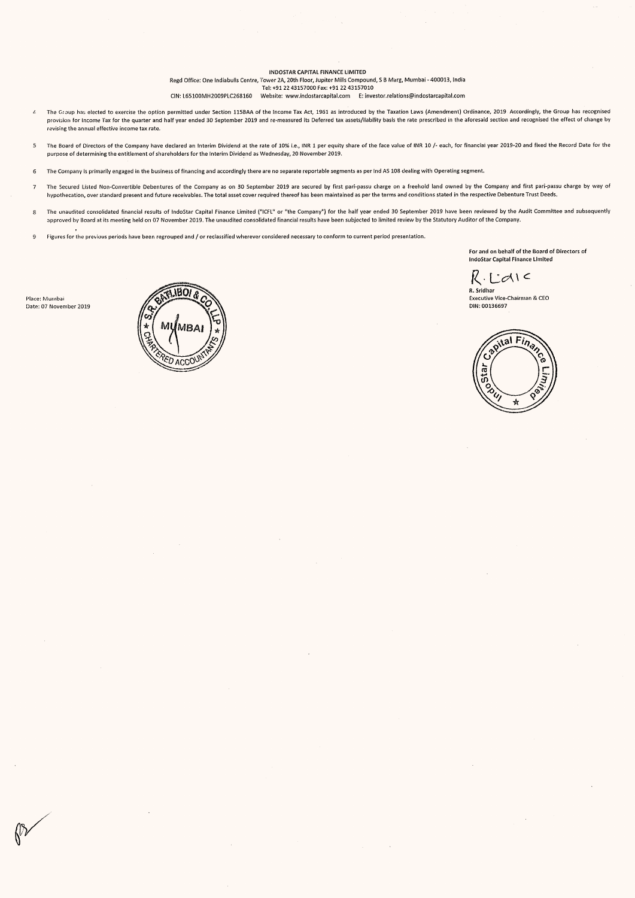INDOSTAR CAPITAL FINANCE LIMITED Regd Office: One Indiabulls Centre, Tower 2A, 20th Floor, Jupiter Mills Compound, S B Marg, Mumbai - 400013, India Tel: +91 22 43157000 Fax: +91 22 43157010 CIN: L65100MH2009PLC268160 Website: www.indostarcapital.com — E: investor.relations@indostarcapital.com

- Ine Group has elected to exercise the option permitted under Section 115BAA of the Income Tax Act, 1961 as introduced by the Taxation Laws (Amendment) Ordinance, 2019. Accordingly, the Group has recognised provision for Income Tax for the quarter and half year ended 30 September 2019 and re-measured its Deferred tax assets/liability basis the rate prescribed in the aforesaid section and recognised the effect of change by revising the annual effective income tax rate.
- 5 The Board of Directors of the Company have declared an Interim Dividend at the rate of 10% i.e., INR 1 per equity share of the face value of INR 10 /- each, for financiai year 2019-20 and fixed the Record Date for the purpose of determining the entitlement of shareholders for the Interim Dividend as Wednesday, 20 November 2019.
- 6 The Company is primarily engaged in the business of financing and accordingly there are no separate reportable segments as per Ind AS 108 dealing with Operating segment.
- 7 The Secured Listed Non-Convertible Debentures of the Company as on 30 September 2019 are secured by first pari-passu charge on a freehold land owned by the Company and first pari-passu charge by way of hypothecation, over standard present and future receivables. The total asset cover required thereof has been maintained as per the terms and conditions stated in the respective Debenture Trust Deeds,
- The unaudited consolidated financial results of IndoStar Capital Finance Limited ("ICFL" or "the Company") for the half year ended 30 September 2019 have been reviewed by the Audit Committee and subsequently<br>approved by Bo
- , 9 Figures for the previous periods have been regrouped and / or reclassified wherever considered necessary to conform to current period presentation.

For and on behalf of the Board of Directors of indoStar Capital Finance Limited

 $R$ . Laie

R. Sridhar Executive Vice-Chairman & CEO DIN: 00136697



Place: Mumbai Date: 07 November 2019

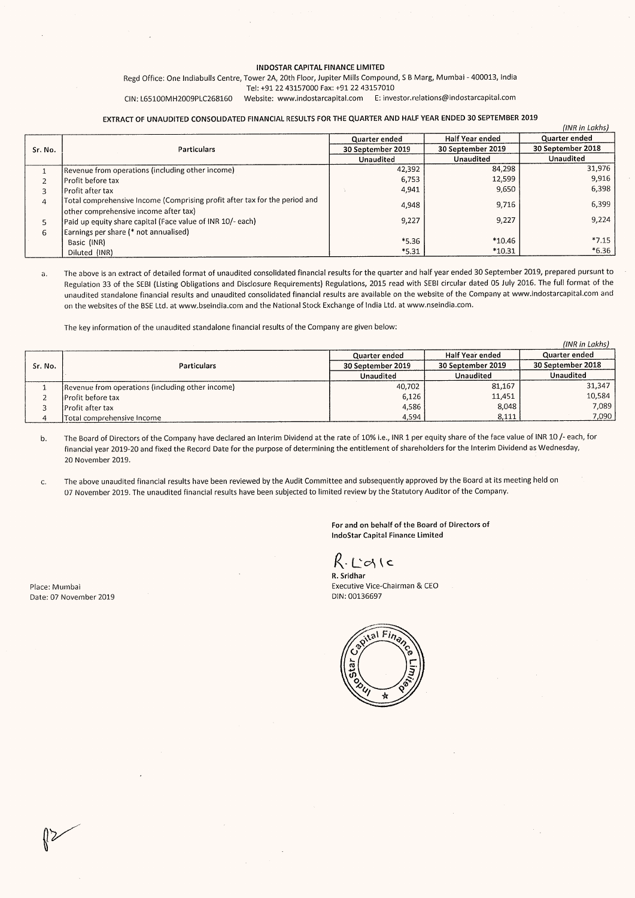#### INDOSTAR CAPITAL FINANCE LIMITED

#### EXTRACT OF UNAUDITED CONSOLIDATED FINANCIAL RESULTS FOR THE QUARTER AND HALF YEAR ENDED 30 SEPTEMBER 2019

|                         | $\mathcal{O}(\mathcal{A})$ , and $\mathcal{O}(\mathcal{A})$                                                                                                                                                                                                                                                                        | $\label{eq:2} \frac{1}{\sqrt{2\pi}}\int_{0}^{\infty}\frac{1}{\sqrt{2\pi}}\frac{d\omega}{\omega}\left(\frac{d\omega}{2\pi}\right)^{2\alpha}d\omega.$ |                                                                                                                                                                                                                                                                                                                                                                                                  |                                                      |
|-------------------------|------------------------------------------------------------------------------------------------------------------------------------------------------------------------------------------------------------------------------------------------------------------------------------------------------------------------------------|-----------------------------------------------------------------------------------------------------------------------------------------------------|--------------------------------------------------------------------------------------------------------------------------------------------------------------------------------------------------------------------------------------------------------------------------------------------------------------------------------------------------------------------------------------------------|------------------------------------------------------|
|                         | $\sim 100$<br>$\mathcal{L} = \{ \mathcal{L} \}$ , $\mathcal{L} = \{ \mathcal{L} \}$                                                                                                                                                                                                                                                |                                                                                                                                                     | $\label{eq:2.1} \frac{1}{\sqrt{2\pi}}\int_{\mathbb{R}^3}\frac{1}{\sqrt{2\pi}}\int_{\mathbb{R}^3}\frac{1}{\sqrt{2\pi}}\int_{\mathbb{R}^3}\frac{1}{\sqrt{2\pi}}\int_{\mathbb{R}^3}\frac{1}{\sqrt{2\pi}}\int_{\mathbb{R}^3}\frac{1}{\sqrt{2\pi}}\frac{1}{\sqrt{2\pi}}\int_{\mathbb{R}^3}\frac{1}{\sqrt{2\pi}}\frac{1}{\sqrt{2\pi}}\frac{1}{\sqrt{2\pi}}\frac{1}{\sqrt{2\pi}}\frac{1}{\sqrt{2\pi}}\$ |                                                      |
|                         |                                                                                                                                                                                                                                                                                                                                    |                                                                                                                                                     |                                                                                                                                                                                                                                                                                                                                                                                                  |                                                      |
|                         | INDOSTAR CAPITAL FINANCE LIMITED<br>Regd Office: One Indiabulls Centre, Tower 2A, 20th Floor, Jupiter Mills Compound, S B Marg, Mumbai - 400013, India                                                                                                                                                                             |                                                                                                                                                     |                                                                                                                                                                                                                                                                                                                                                                                                  |                                                      |
|                         | Tel: +91 22 43157000 Fax: +91 22 43157010<br>CIN: L65100MH2009PLC268160                                                                                                                                                                                                                                                            | Website: www.indostarcapital.com E: investor.relations@indostarcapital.com                                                                          |                                                                                                                                                                                                                                                                                                                                                                                                  |                                                      |
|                         | EXTRACT OF UNAUDITED CONSOLIDATED FINANCIAL RESULTS FOR THE QUARTER AND HALF YEAR ENDED 30 SEPTEMBER 2019                                                                                                                                                                                                                          |                                                                                                                                                     |                                                                                                                                                                                                                                                                                                                                                                                                  |                                                      |
|                         |                                                                                                                                                                                                                                                                                                                                    | Quarter ended                                                                                                                                       | Half Year ended<br>30 September 2019                                                                                                                                                                                                                                                                                                                                                             | (INR in Lakhs)<br>Quarter ended<br>30 September 2018 |
| Sr. No.<br>$\mathbf{1}$ | Particulars<br>Revenue from operations (including other income)                                                                                                                                                                                                                                                                    | 30 September 2019<br>Unaudited<br>42,392                                                                                                            | Unaudited<br>84,298                                                                                                                                                                                                                                                                                                                                                                              | <b>Unaudited</b><br>31,976                           |
| $\overline{2}$<br>3     | Profit before tax<br>Profit after tax                                                                                                                                                                                                                                                                                              | 6,753<br>4,941                                                                                                                                      | 12,599<br>9,650                                                                                                                                                                                                                                                                                                                                                                                  | 9,916<br>6,398                                       |
| 4                       | Total comprehensive Income (Comprising profit after tax for the period and<br>other comprehensive income after tax)                                                                                                                                                                                                                | 4,948                                                                                                                                               | 9,716                                                                                                                                                                                                                                                                                                                                                                                            | 6,399                                                |
| 5<br>6                  | Paid up equity share capital (Face value of INR 10/- each)<br>Earnings per share (* not annualised)                                                                                                                                                                                                                                | 9,227                                                                                                                                               | 9,227                                                                                                                                                                                                                                                                                                                                                                                            | 9,224                                                |
|                         | Basic (INR)<br>Diluted (INR)                                                                                                                                                                                                                                                                                                       | $*5.36$<br>$*5.31$                                                                                                                                  | *10.46<br>$*10.31$                                                                                                                                                                                                                                                                                                                                                                               | $*7.15$<br>$*6.36$                                   |
| ā.                      | The above is an extract of detailed format of unaudited consolidated financial results for the quarter and half year ended 30 September 2019, prepared pursunt to                                                                                                                                                                  |                                                                                                                                                     |                                                                                                                                                                                                                                                                                                                                                                                                  |                                                      |
|                         | Regulation 33 of the SEBI (Listing Obligations and Disclosure Requirements) Regulations, 2015 read with SEBI circular dated 05 July 2016. The full format of the<br>unaudited standalone financial results and unaudited consolidated financial results are available on the website of the Company at www.indostarcapital.com and |                                                                                                                                                     |                                                                                                                                                                                                                                                                                                                                                                                                  |                                                      |
|                         |                                                                                                                                                                                                                                                                                                                                    |                                                                                                                                                     |                                                                                                                                                                                                                                                                                                                                                                                                  |                                                      |
|                         | on the websites of the BSE Ltd. at www.bseindia.com and the National Stock Exchange of India Ltd. at www.nseindia.com.                                                                                                                                                                                                             |                                                                                                                                                     |                                                                                                                                                                                                                                                                                                                                                                                                  |                                                      |
|                         | The key information of the unaudited standalone financial results of the Company are given below:                                                                                                                                                                                                                                  |                                                                                                                                                     |                                                                                                                                                                                                                                                                                                                                                                                                  | (INR in Lakhs)                                       |
| Sr. No.                 | Particulars                                                                                                                                                                                                                                                                                                                        | Quarter ended<br>30 September 2019                                                                                                                  | Half Year ended<br>30 September 2019                                                                                                                                                                                                                                                                                                                                                             | Quarter ended<br>30 September 2018                   |
| $\mathbf{1}$            | Revenue from operations (including other income)                                                                                                                                                                                                                                                                                   | Unaudited<br>40,702                                                                                                                                 | Unaudited<br>81,167                                                                                                                                                                                                                                                                                                                                                                              | Unaudited<br>31,347                                  |
| $\mathbf 2$<br>3        | Profit before tax<br>Profit after tax                                                                                                                                                                                                                                                                                              | 6,126<br>4,586<br>4,594                                                                                                                             | 11,451<br>8,048<br>8,111                                                                                                                                                                                                                                                                                                                                                                         | 10,584<br>7,089<br>7,090                             |

|         |                                                   |                   |                   | (INR in Lakhs)    |
|---------|---------------------------------------------------|-------------------|-------------------|-------------------|
|         |                                                   | Quarter ended     | Half Year ended   | Quarter ended     |
| Sr. No. | <b>Particulars</b>                                | 30 September 2019 | 30 September 2019 | 30 September 2018 |
|         |                                                   | Unaudited         | Unaudited         | Unaudited         |
|         | [Revenue from operations (including other income) | 40,702            | 81,167            | 31,347            |
|         | <b>IProfit before tax</b>                         | 6,126             | 11,451            | 10,584            |
|         | IProfit after tax                                 | 4.586             | 8.048             | 7.089             |
|         | Total comprehensive Income                        | 4.594             | 8,111             | 7,090             |

b. The Board of Directors of the Company have declared an interim Dividend at the rate of 10% i.e., INR 1 per equity share of the face value of INR 10/- each, for financial year 2019-20 and fixed the Record Date for the purpose of determining the entitlement of shareholders for the Interim Dividend as Wednesday, 20 November 2019.

C. The above unaudited financial results have been reviewed by the Audit Committee and subsequently approved by the Board at its meeting held on 07 November 2019. The unaudited financial results have been subjected to limited review by the Statutory Auditor of the Company.

Place: Mumbai Date: 07 November 2019 For and on behalf of the Board of Directors of IndoStar Capital Finance Limited

 $R$ . L' $R$ 

R. Sridhar Executive Vice-Chairman & CEO DIN: 00136697

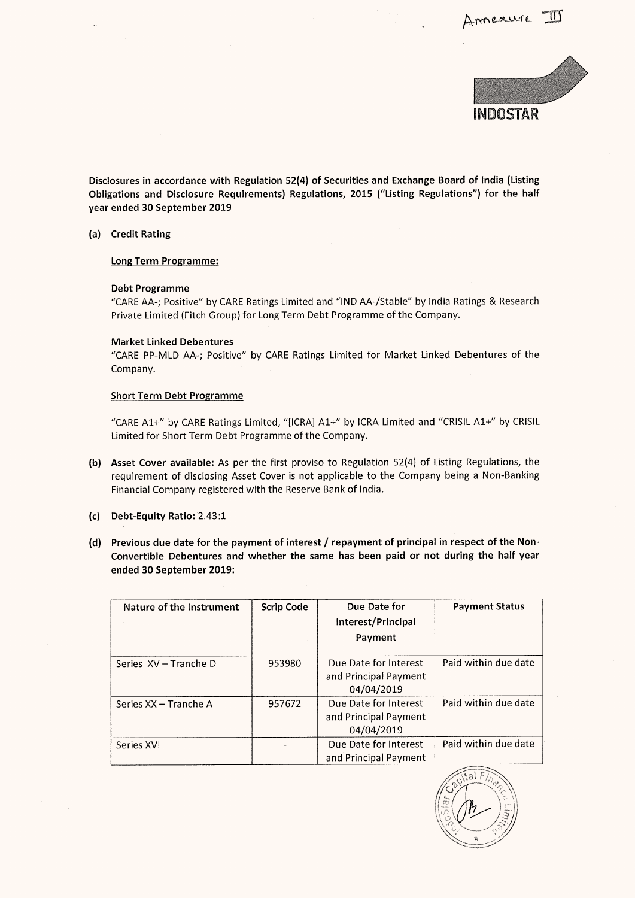

Disclosures in accordance with Regulation 52(4) of Securities and Exchange Board of India (Listing Obligations and Disclosure Requirements) Regulations, 2015 ("Listing Regulations") for the half year ended 30 September 2019 osures in accordance w<br>Lations and Disclosure<br>ended 30 September 20<br>Credit Rating<br>Long Term Programme:

(a) Credit Rating

#### Debt Programme

#### Market Linked Debentures

#### Short Term Debt Programme

- (b) Asset Cover available: As per the first proviso to Regulation 52(4) of Listing Regulations, the requirement of disclosing Asset Cover is not applicable to the Company being a Non-Banking Financial Company registered with the Reserve Bank of India.
- (c) Debt-Equity Ratio: 2.43:1
- (d) Previous due date for the payment of interest / repayment of principal in respect of the Non-Convertible Debentures and whether the same has been paid or not during the half year osures in accordance with Regulation 52(4) of s<br>
stions and Disclosure Requirements) Regulati<br>
ended 30 September 2019<br>
Credit Rating<br>
Long Term Programme:<br>
CARE AA-; Positive" by CARE Ratings Limited and<br>
Private Limited ended 30 September 2019:

| <b>Credit Rating</b>                                                                                                                                                                                                                                          |                   |                                                              |                       |  |  |  |  |
|---------------------------------------------------------------------------------------------------------------------------------------------------------------------------------------------------------------------------------------------------------------|-------------------|--------------------------------------------------------------|-----------------------|--|--|--|--|
| Long Term Programme:                                                                                                                                                                                                                                          |                   |                                                              |                       |  |  |  |  |
| <b>Debt Programme</b><br>"CARE AA-; Positive" by CARE Ratings Limited and "IND AA-/Stable" by India Ratings & Research<br>Private Limited (Fitch Group) for Long Term Debt Programme of the Company.                                                          |                   |                                                              |                       |  |  |  |  |
| <b>Market Linked Debentures</b><br>"CARE PP-MLD AA-; Positive" by CARE Ratings Limited for Market Linked Debentures of the<br>Company.                                                                                                                        |                   |                                                              |                       |  |  |  |  |
| <b>Short Term Debt Programme</b>                                                                                                                                                                                                                              |                   |                                                              |                       |  |  |  |  |
| "CARE A1+" by CARE Ratings Limited, "[ICRA] A1+" by ICRA Limited and "CRISIL A1+" by CRISIL<br>Limited for Short Term Debt Programme of the Company.                                                                                                          |                   |                                                              |                       |  |  |  |  |
| Asset Cover available: As per the first proviso to Regulation 52(4) of Listing Regulations, the<br>requirement of disclosing Asset Cover is not applicable to the Company being a Non-Banking<br>Financial Company registered with the Reserve Bank of India. |                   |                                                              |                       |  |  |  |  |
| Debt-Equity Ratio: 2.43:1                                                                                                                                                                                                                                     |                   |                                                              |                       |  |  |  |  |
| Previous due date for the payment of interest / repayment of principal in respect of the Non-<br>Convertible Debentures and whether the same has been paid or not during the half year<br>ended 30 September 2019:                                            |                   |                                                              |                       |  |  |  |  |
| Nature of the Instrument                                                                                                                                                                                                                                      | <b>Scrip Code</b> | Due Date for                                                 | <b>Payment Status</b> |  |  |  |  |
|                                                                                                                                                                                                                                                               |                   | Interest/Principal                                           |                       |  |  |  |  |
|                                                                                                                                                                                                                                                               |                   | Payment                                                      |                       |  |  |  |  |
| Series XV - Tranche D                                                                                                                                                                                                                                         | 953980            | Due Date for Interest<br>and Principal Payment<br>04/04/2019 | Paid within due date  |  |  |  |  |
| Series XX - Tranche A                                                                                                                                                                                                                                         | 957672            | Due Date for Interest<br>and Principal Payment<br>04/04/2019 | Paid within due date  |  |  |  |  |
| Series XVI                                                                                                                                                                                                                                                    |                   | Due Date for Interest<br>and Principal Payment               | Paid within due date  |  |  |  |  |

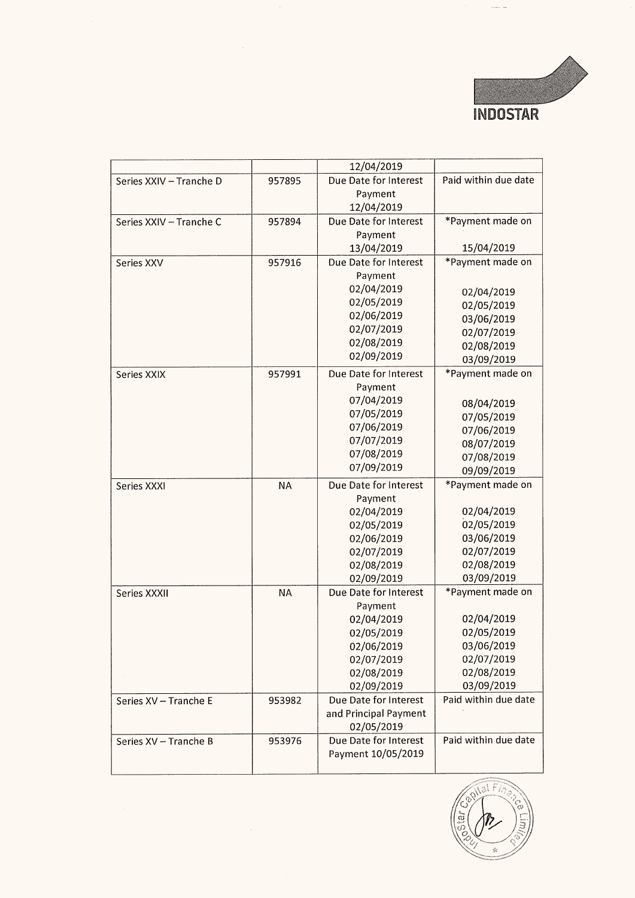

|                         |           |                                                                                                                      | <b>INDOSTAR</b>                                                                                      |
|-------------------------|-----------|----------------------------------------------------------------------------------------------------------------------|------------------------------------------------------------------------------------------------------|
|                         |           |                                                                                                                      |                                                                                                      |
| Series XXIV - Tranche D | 957895    | 12/04/2019<br>Due Date for Interest<br>Payment<br>12/04/2019                                                         | Paid within due date                                                                                 |
| Series XXIV - Tranche C | 957894    | Due Date for Interest<br>Payment<br>13/04/2019                                                                       | *Payment made on<br>15/04/2019                                                                       |
| Series XXV              | 957916    | Due Date for Interest<br>Payment<br>02/04/2019<br>02/05/2019<br>02/06/2019<br>02/07/2019<br>02/08/2019<br>02/09/2019 | *Payment made on<br>02/04/2019<br>02/05/2019<br>03/06/2019<br>02/07/2019<br>02/08/2019<br>03/09/2019 |
| Series XXIX             | 957991    | Due Date for Interest<br>Payment<br>07/04/2019<br>07/05/2019<br>07/06/2019<br>07/07/2019<br>07/08/2019<br>07/09/2019 | *Payment made on<br>08/04/2019<br>07/05/2019<br>07/06/2019<br>08/07/2019<br>07/08/2019<br>09/09/2019 |
| Series XXXI             | <b>NA</b> | Due Date for Interest<br>Payment<br>02/04/2019<br>02/05/2019<br>02/06/2019<br>02/07/2019<br>02/08/2019<br>02/09/2019 | *Payment made on<br>02/04/2019<br>02/05/2019<br>03/06/2019<br>02/07/2019<br>02/08/2019<br>03/09/2019 |
| Series XXXII            | <b>NA</b> | Due Date for Interest<br>Payment<br>02/04/2019<br>02/05/2019<br>02/06/2019<br>02/07/2019<br>02/08/2019<br>02/09/2019 | *Payment made on<br>02/04/2019<br>02/05/2019<br>03/06/2019<br>02/07/2019<br>02/08/2019<br>03/09/2019 |
| Series XV - Tranche E   | 953982    | Due Date for Interest<br>and Principal Payment<br>02/05/2019                                                         | Paid within due date                                                                                 |
| Series XV - Tranche B   | 953976    | Due Date for Interest<br>Payment 10/05/2019                                                                          | Paid within due date                                                                                 |

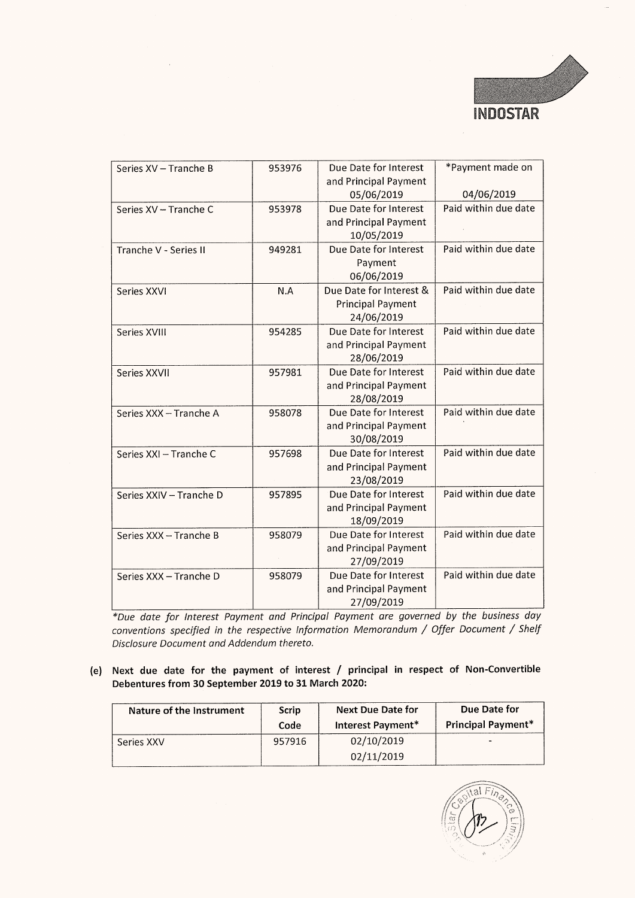

|                                                                                                                                                                                                                               |        |                                                                            | <b>INDOSTAR</b>                |
|-------------------------------------------------------------------------------------------------------------------------------------------------------------------------------------------------------------------------------|--------|----------------------------------------------------------------------------|--------------------------------|
|                                                                                                                                                                                                                               |        |                                                                            |                                |
| Series XV - Tranche B                                                                                                                                                                                                         | 953976 | Due Date for Interest<br>and Principal Payment<br>05/06/2019               | *Payment made on<br>04/06/2019 |
| Series XV – Tranche C                                                                                                                                                                                                         | 953978 | Due Date for Interest<br>and Principal Payment                             | Paid within due date           |
| Tranche V - Series II                                                                                                                                                                                                         | 949281 | 10/05/2019<br>Due Date for Interest                                        | Paid within due date           |
|                                                                                                                                                                                                                               |        | Payment<br>06/06/2019                                                      |                                |
| Series XXVI                                                                                                                                                                                                                   | N.A    | Due Date for Interest &<br><b>Principal Payment</b><br>24/06/2019          | Paid within due date           |
| Series XVIII                                                                                                                                                                                                                  | 954285 | Due Date for Interest<br>and Principal Payment<br>28/06/2019               | Paid within due date           |
| Series XXVII                                                                                                                                                                                                                  | 957981 | Due Date for Interest<br>and Principal Payment<br>28/08/2019               | Paid within due date           |
| Series XXX - Tranche A                                                                                                                                                                                                        | 958078 | Due Date for Interest<br>and Principal Payment                             | Paid within due date           |
| Series XXI - Tranche C                                                                                                                                                                                                        | 957698 | 30/08/2019<br>Due Date for Interest<br>and Principal Payment               | Paid within due date           |
| Series XXIV - Tranche D                                                                                                                                                                                                       | 957895 | 23/08/2019<br>Due Date for Interest<br>and Principal Payment               | Paid within due date           |
| Series XXX - Tranche B                                                                                                                                                                                                        | 958079 | 18/09/2019<br>Due Date for Interest<br>and Principal Payment               | Paid within due date           |
| Series XXX - Tranche D                                                                                                                                                                                                        | 958079 | 27/09/2019<br>Due Date for Interest<br>and Principal Payment<br>27/09/2019 | Paid within due date           |
| *Due date for Interest Payment and Principal Payment are governed by the business day<br>conventions specified in the respective Information Memorandum / Offer Document / Shelf<br>Disclosure Document and Addendum thereto. |        |                                                                            |                                |
| Next due date for the payment of interest / principal in respect of Non-Convertible<br>Debentures from 30 September 2019 to 31 March 2020:                                                                                    |        |                                                                            |                                |
| Nature of the Instrument                                                                                                                                                                                                      | Scrip  | <b>Next Due Date for</b>                                                   | <b>Due Date for</b>            |
|                                                                                                                                                                                                                               | Code   | Interest Payment*                                                          | Principal Payment*             |

## (e) Next due date for the payment of interest / principal in respect of Non-Convertible Debentures from 30 September 2019 to 31 March 2020:

| Nature of the Instrument | Scrip<br>Code | <b>Next Due Date for</b><br>Interest Payment* | Due Date for<br><b>Principal Payment*</b> |
|--------------------------|---------------|-----------------------------------------------|-------------------------------------------|
| Series XXV               | 957916        | 02/10/2019                                    |                                           |
|                          |               | 02/11/2019                                    |                                           |

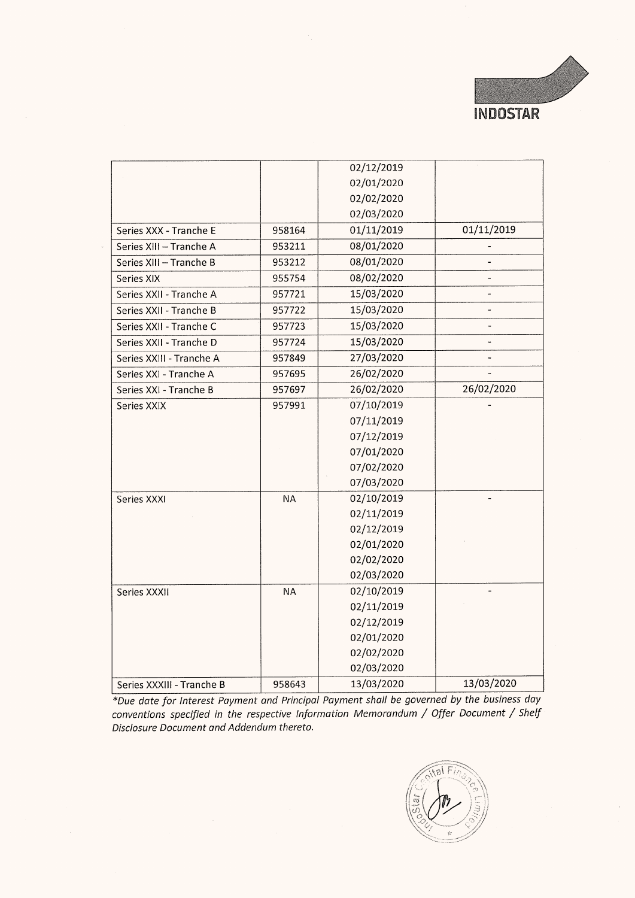

|                                       |                  |                          | <b>INDOSTAR</b> |
|---------------------------------------|------------------|--------------------------|-----------------|
|                                       |                  |                          |                 |
|                                       |                  |                          |                 |
|                                       |                  | 02/12/2019               |                 |
|                                       |                  | 02/01/2020               |                 |
|                                       |                  | 02/02/2020               |                 |
|                                       |                  | 02/03/2020               |                 |
| Series XXX - Tranche E                | 958164           | 01/11/2019               | 01/11/2019      |
| Series XIII - Tranche A               | 953211           | 08/01/2020               |                 |
| Series XIII - Tranche B               | 953212           | 08/01/2020               |                 |
| Series XIX                            | 955754           | 08/02/2020               | ۰               |
| Series XXII - Tranche A               | 957721           | 15/03/2020               |                 |
| Series XXII - Tranche B               | 957722           | 15/03/2020               | ٠               |
| Series XXII - Tranche C               | 957723           | 15/03/2020               |                 |
| Series XXII - Tranche D               | 957724           | 15/03/2020               | ٠               |
| Series XXIII - Tranche A              | 957849           | 27/03/2020               |                 |
| Series XXI - Tranche A                | 957695           | 26/02/2020               |                 |
| Series XXI - Tranche B<br>Series XXIX | 957697<br>957991 | 26/02/2020<br>07/10/2019 | 26/02/2020      |
|                                       |                  | 07/11/2019               |                 |
|                                       |                  | 07/12/2019               |                 |
|                                       |                  | 07/01/2020               |                 |
|                                       |                  | 07/02/2020               |                 |
|                                       |                  | 07/03/2020               |                 |
| Series XXXI                           | <b>NA</b>        | 02/10/2019               |                 |
|                                       |                  | 02/11/2019               |                 |
|                                       |                  | 02/12/2019               |                 |
|                                       |                  | 02/01/2020               |                 |
|                                       |                  | 02/02/2020<br>02/03/2020 |                 |
| Series XXXII                          | NA               | 02/10/2019               |                 |
|                                       |                  | 02/11/2019               |                 |
|                                       |                  | 02/12/2019               |                 |
|                                       |                  | 02/01/2020               |                 |
|                                       |                  | 02/02/2020               |                 |
|                                       |                  | 02/03/2020               |                 |
| Series XXXIII - Tranche B             | 958643           | 13/03/2020               | 13/03/2020      |

\*Due date for Interest Payment and Principal Payment shall be governed by the business day conventions specified in the respective Information Memorandum / Offer Document / Shelf Disclosure Document and Addendum thereto.

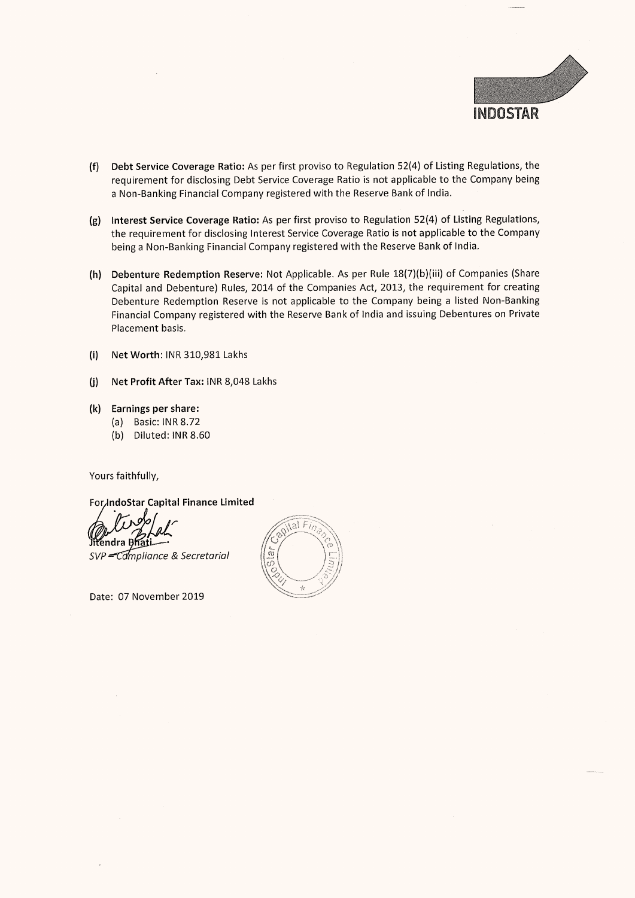

- (f) Debt Service Coverage Ratio: As per first proviso to Regulation 52(4) of Listing Regulations, the requirement for disclosing Debt Service Coverage Ratio is not applicable to the Company being a Non-Banking Financial Company registered with the Reserve Bank of India.
- (g) Interest Service Coverage Ratio: As per first proviso to Regulation 52(4) of Listing Regulations, the requirement for disclosing Interest Service Coverage Ratio is not applicable to the Company being a Non-Banking Financial Company registered with the Reserve Bank of India.
- (h) Debenture Redemption Reserve: Not Applicable. As per Rule 18(7)(b)(iii) of Companies (Share Capital and Debenture) Rules, 2014 of the Companies Act, 2013, the requirement for creating Debenture Redemption Reserve is not applicable to the Company being a listed Non-Banking Financial Company registered with the Reserve Bank of India and issuing Debentures on Private Placement basis.
- (i) Net Worth: INR 310,981 Lakhs
- (j) Net Profit After Tax: INR 8,048 Lakhs
- (k) Earnings per share:
	- (a) Basic: INR 8.72
		- (b) Diluted: INR 8.60

Yours faithfully,

ForJndoStar Capital Finance Limited

îtendra I SVP - Campliance & Secretarial

Date: 07 November 2019